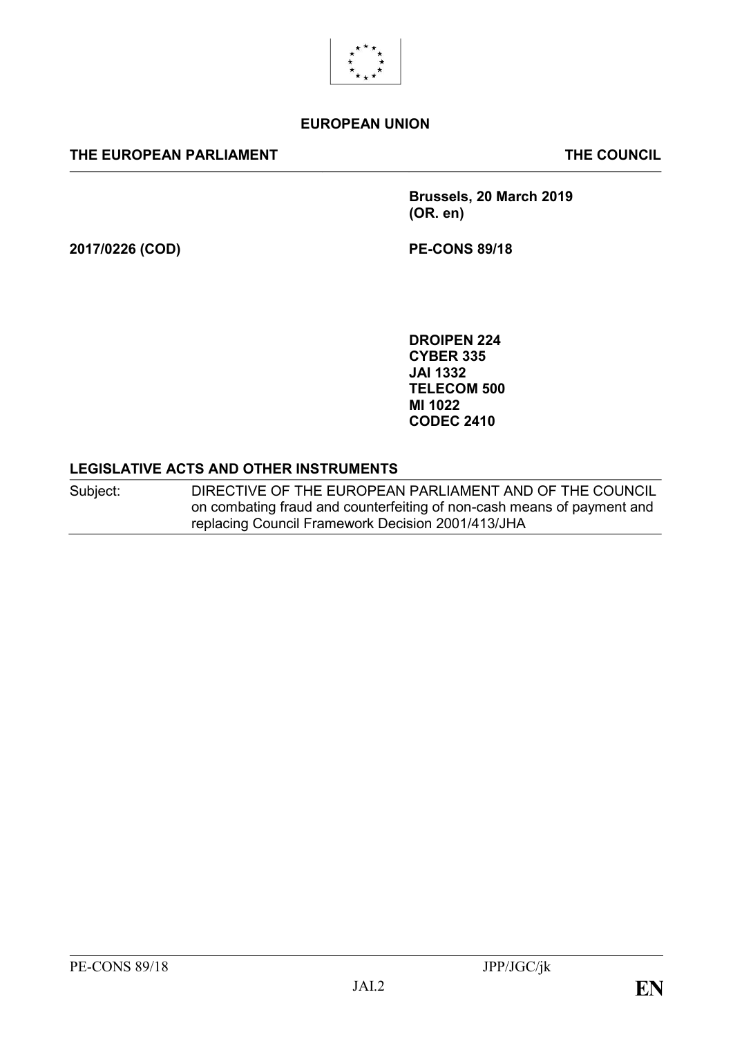

#### **EUROPEAN UNION**

#### **THE EUROPEAN PARLIAMENT THE COUNCIL**

**Brussels, 20 March 2019 (OR. en)**

**2017/0226 (COD) PE-CONS 89/18**

**DROIPEN 224 CYBER 335 JAI 1332 TELECOM 500 MI 1022 CODEC 2410**

#### **LEGISLATIVE ACTS AND OTHER INSTRUMENTS**

Subject: DIRECTIVE OF THE EUROPEAN PARLIAMENT AND OF THE COUNCIL on combating fraud and counterfeiting of non-cash means of payment and replacing Council Framework Decision 2001/413/JHA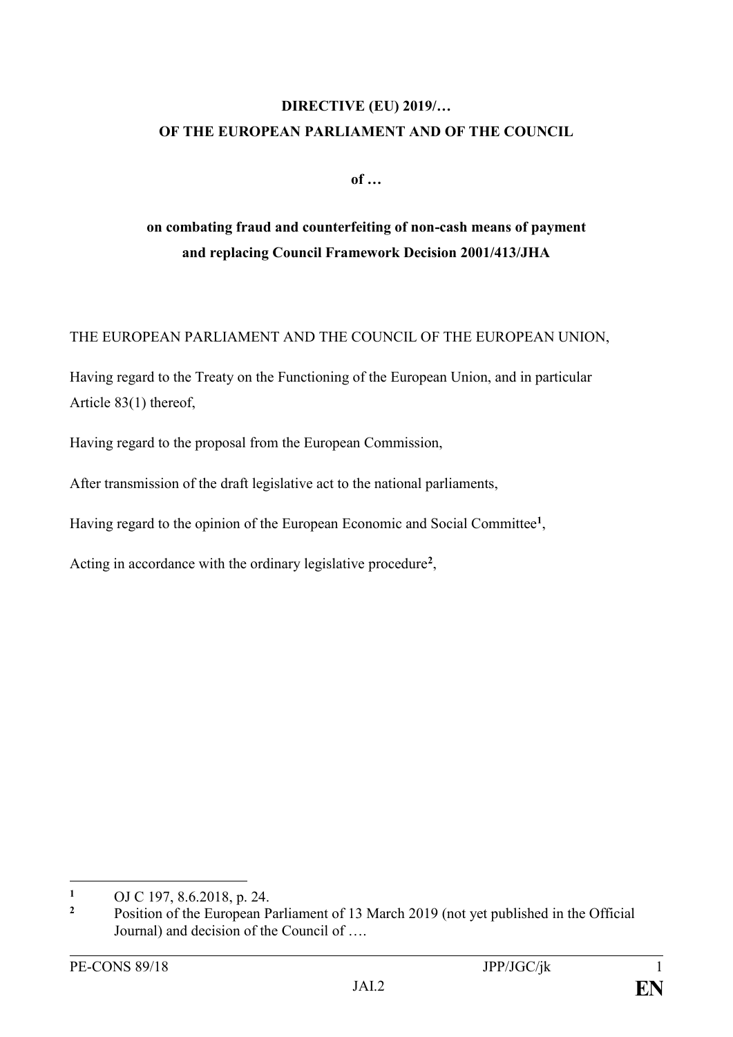### **DIRECTIVE (EU) 2019/… OF THE EUROPEAN PARLIAMENT AND OF THE COUNCIL**

**of …**

# **on combating fraud and counterfeiting of non-cash means of payment and replacing Council Framework Decision 2001/413/JHA**

#### THE EUROPEAN PARLIAMENT AND THE COUNCIL OF THE EUROPEAN UNION,

Having regard to the Treaty on the Functioning of the European Union, and in particular Article 83(1) thereof,

Having regard to the proposal from the European Commission,

After transmission of the draft legislative act to the national parliaments,

Having regard to the opinion of the European Economic and Social Committee**<sup>1</sup>** ,

Acting in accordance with the ordinary legislative procedure**<sup>2</sup>** ,

<sup>&</sup>lt;u>.</u> **<sup>1</sup>** OJ C 197, 8.6.2018, p. 24.

**<sup>2</sup>** Position of the European Parliament of 13 March 2019 (not yet published in the Official Journal) and decision of the Council of ….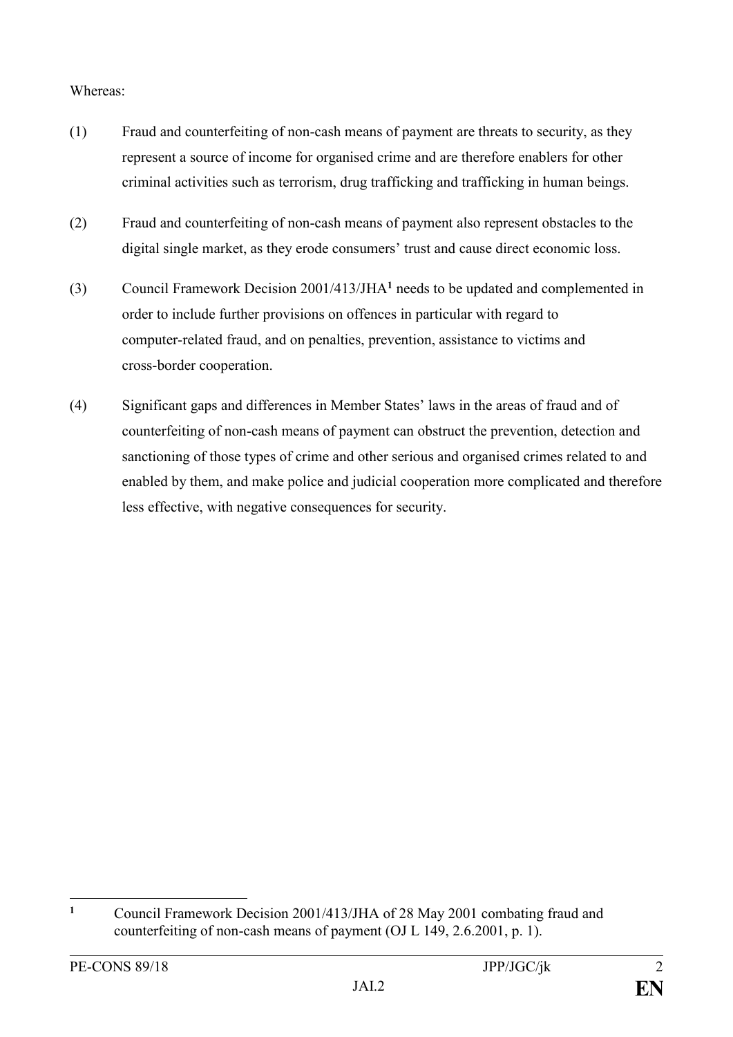#### Whereas:

- (1) Fraud and counterfeiting of non-cash means of payment are threats to security, as they represent a source of income for organised crime and are therefore enablers for other criminal activities such as terrorism, drug trafficking and trafficking in human beings.
- (2) Fraud and counterfeiting of non-cash means of payment also represent obstacles to the digital single market, as they erode consumers' trust and cause direct economic loss.
- (3) Council Framework Decision 2001/413/JHA**<sup>1</sup>** needs to be updated and complemented in order to include further provisions on offences in particular with regard to computer-related fraud, and on penalties, prevention, assistance to victims and cross-border cooperation.
- (4) Significant gaps and differences in Member States' laws in the areas of fraud and of counterfeiting of non-cash means of payment can obstruct the prevention, detection and sanctioning of those types of crime and other serious and organised crimes related to and enabled by them, and make police and judicial cooperation more complicated and therefore less effective, with negative consequences for security.

 $\mathbf{1}$ **<sup>1</sup>** Council Framework Decision 2001/413/JHA of 28 May 2001 combating fraud and counterfeiting of non-cash means of payment (OJ L 149, 2.6.2001, p. 1).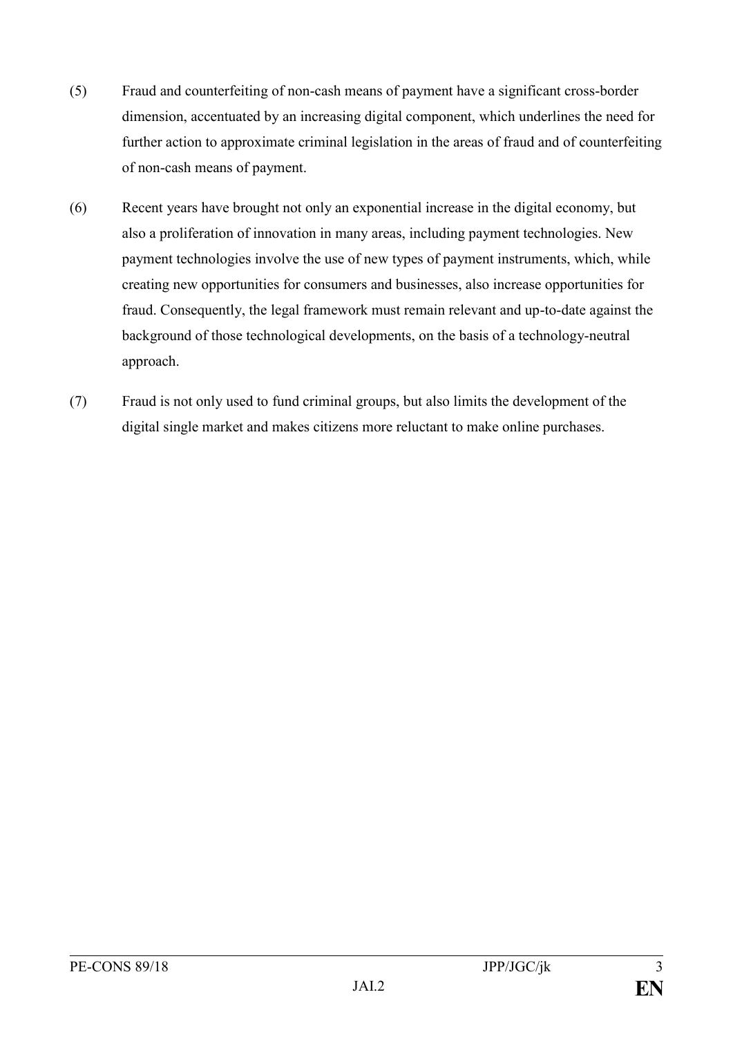- (5) Fraud and counterfeiting of non-cash means of payment have a significant cross-border dimension, accentuated by an increasing digital component, which underlines the need for further action to approximate criminal legislation in the areas of fraud and of counterfeiting of non-cash means of payment.
- (6) Recent years have brought not only an exponential increase in the digital economy, but also a proliferation of innovation in many areas, including payment technologies. New payment technologies involve the use of new types of payment instruments, which, while creating new opportunities for consumers and businesses, also increase opportunities for fraud. Consequently, the legal framework must remain relevant and up-to-date against the background of those technological developments, on the basis of a technology-neutral approach.
- (7) Fraud is not only used to fund criminal groups, but also limits the development of the digital single market and makes citizens more reluctant to make online purchases.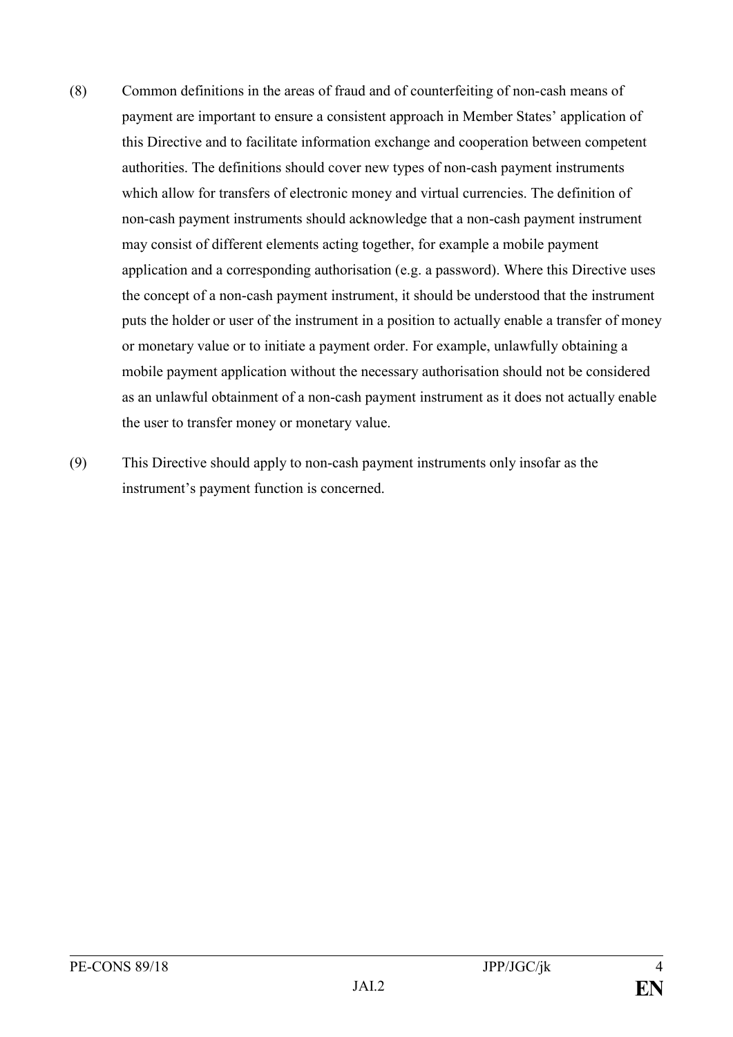- (8) Common definitions in the areas of fraud and of counterfeiting of non-cash means of payment are important to ensure a consistent approach in Member States' application of this Directive and to facilitate information exchange and cooperation between competent authorities. The definitions should cover new types of non-cash payment instruments which allow for transfers of electronic money and virtual currencies. The definition of non-cash payment instruments should acknowledge that a non-cash payment instrument may consist of different elements acting together, for example a mobile payment application and a corresponding authorisation (e.g. a password). Where this Directive uses the concept of a non-cash payment instrument, it should be understood that the instrument puts the holder or user of the instrument in a position to actually enable a transfer of money or monetary value or to initiate a payment order. For example, unlawfully obtaining a mobile payment application without the necessary authorisation should not be considered as an unlawful obtainment of a non-cash payment instrument as it does not actually enable the user to transfer money or monetary value.
- (9) This Directive should apply to non-cash payment instruments only insofar as the instrument's payment function is concerned.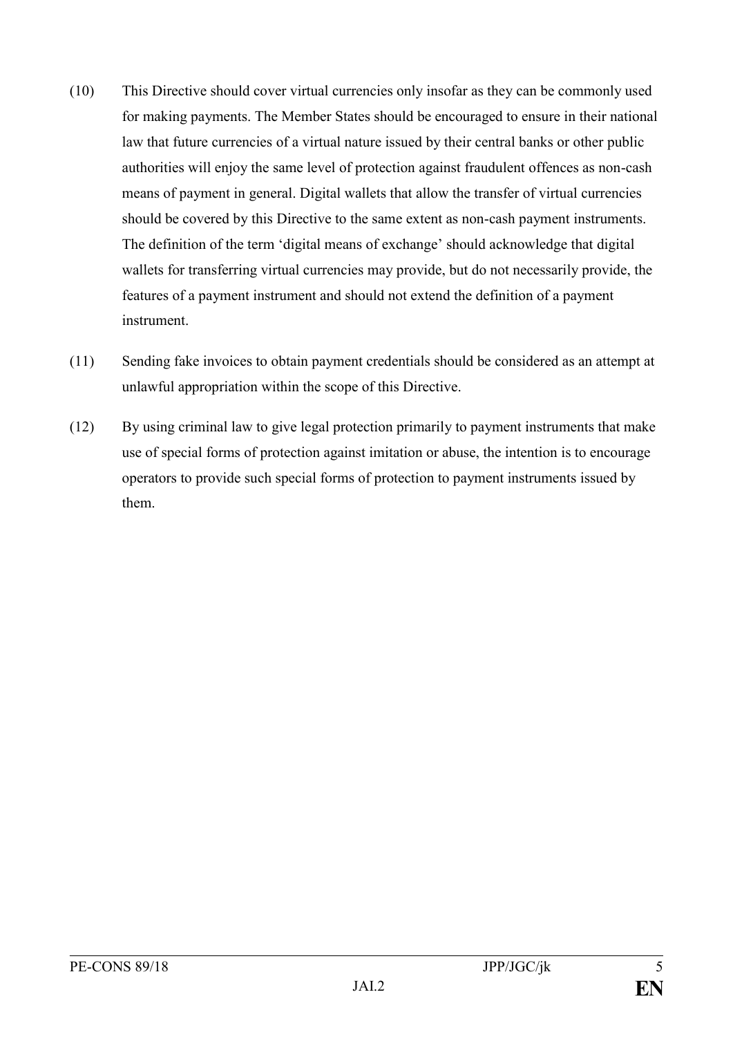- (10) This Directive should cover virtual currencies only insofar as they can be commonly used for making payments. The Member States should be encouraged to ensure in their national law that future currencies of a virtual nature issued by their central banks or other public authorities will enjoy the same level of protection against fraudulent offences as non-cash means of payment in general. Digital wallets that allow the transfer of virtual currencies should be covered by this Directive to the same extent as non-cash payment instruments. The definition of the term 'digital means of exchange' should acknowledge that digital wallets for transferring virtual currencies may provide, but do not necessarily provide, the features of a payment instrument and should not extend the definition of a payment instrument.
- (11) Sending fake invoices to obtain payment credentials should be considered as an attempt at unlawful appropriation within the scope of this Directive.
- (12) By using criminal law to give legal protection primarily to payment instruments that make use of special forms of protection against imitation or abuse, the intention is to encourage operators to provide such special forms of protection to payment instruments issued by them.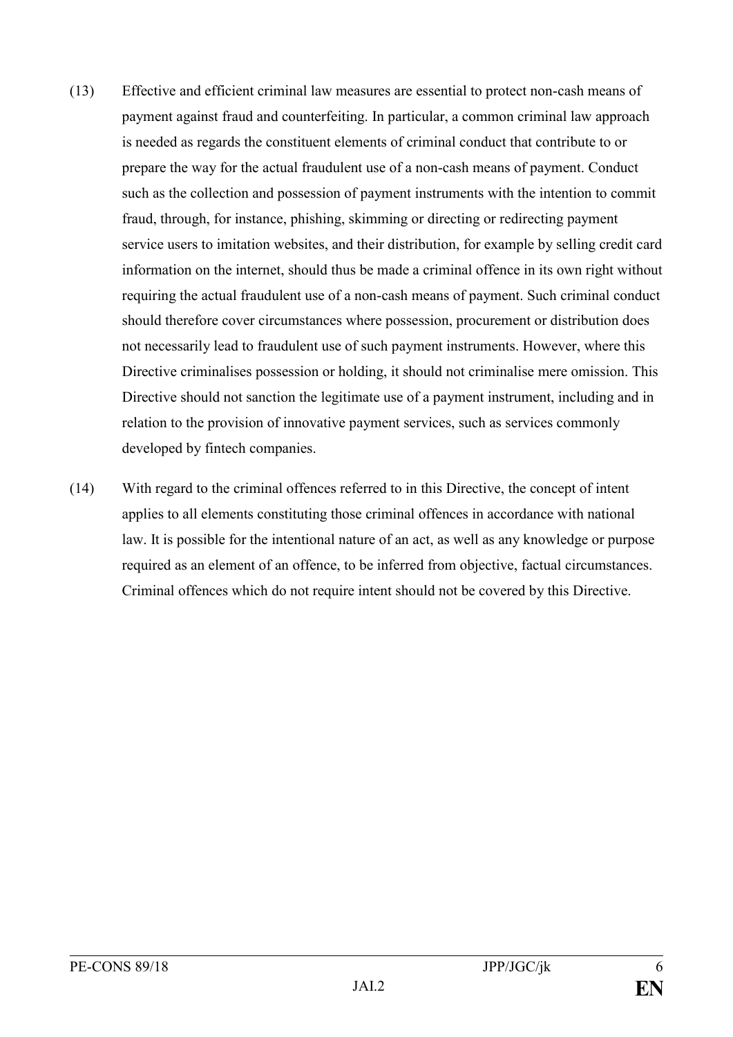- (13) Effective and efficient criminal law measures are essential to protect non-cash means of payment against fraud and counterfeiting. In particular, a common criminal law approach is needed as regards the constituent elements of criminal conduct that contribute to or prepare the way for the actual fraudulent use of a non-cash means of payment. Conduct such as the collection and possession of payment instruments with the intention to commit fraud, through, for instance, phishing, skimming or directing or redirecting payment service users to imitation websites, and their distribution, for example by selling credit card information on the internet, should thus be made a criminal offence in its own right without requiring the actual fraudulent use of a non-cash means of payment. Such criminal conduct should therefore cover circumstances where possession, procurement or distribution does not necessarily lead to fraudulent use of such payment instruments. However, where this Directive criminalises possession or holding, it should not criminalise mere omission. This Directive should not sanction the legitimate use of a payment instrument, including and in relation to the provision of innovative payment services, such as services commonly developed by fintech companies.
- (14) With regard to the criminal offences referred to in this Directive, the concept of intent applies to all elements constituting those criminal offences in accordance with national law. It is possible for the intentional nature of an act, as well as any knowledge or purpose required as an element of an offence, to be inferred from objective, factual circumstances. Criminal offences which do not require intent should not be covered by this Directive.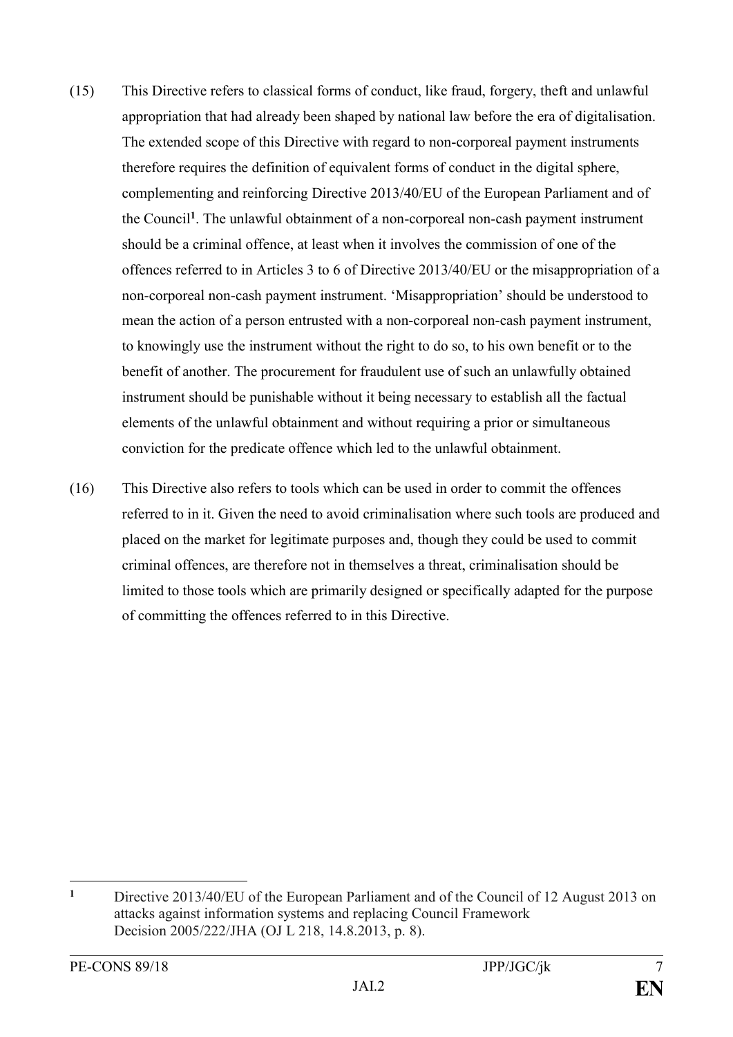- (15) This Directive refers to classical forms of conduct, like fraud, forgery, theft and unlawful appropriation that had already been shaped by national law before the era of digitalisation. The extended scope of this Directive with regard to non-corporeal payment instruments therefore requires the definition of equivalent forms of conduct in the digital sphere, complementing and reinforcing Directive 2013/40/EU of the European Parliament and of the Council**<sup>1</sup>** . The unlawful obtainment of a non-corporeal non-cash payment instrument should be a criminal offence, at least when it involves the commission of one of the offences referred to in Articles 3 to 6 of Directive 2013/40/EU or the misappropriation of a non-corporeal non-cash payment instrument. 'Misappropriation' should be understood to mean the action of a person entrusted with a non-corporeal non-cash payment instrument, to knowingly use the instrument without the right to do so, to his own benefit or to the benefit of another. The procurement for fraudulent use of such an unlawfully obtained instrument should be punishable without it being necessary to establish all the factual elements of the unlawful obtainment and without requiring a prior or simultaneous conviction for the predicate offence which led to the unlawful obtainment.
- (16) This Directive also refers to tools which can be used in order to commit the offences referred to in it. Given the need to avoid criminalisation where such tools are produced and placed on the market for legitimate purposes and, though they could be used to commit criminal offences, are therefore not in themselves a threat, criminalisation should be limited to those tools which are primarily designed or specifically adapted for the purpose of committing the offences referred to in this Directive.

<u>.</u>

**<sup>1</sup>** Directive 2013/40/EU of the European Parliament and of the Council of 12 August 2013 on attacks against information systems and replacing Council Framework Decision 2005/222/JHA (OJ L 218, 14.8.2013, p. 8).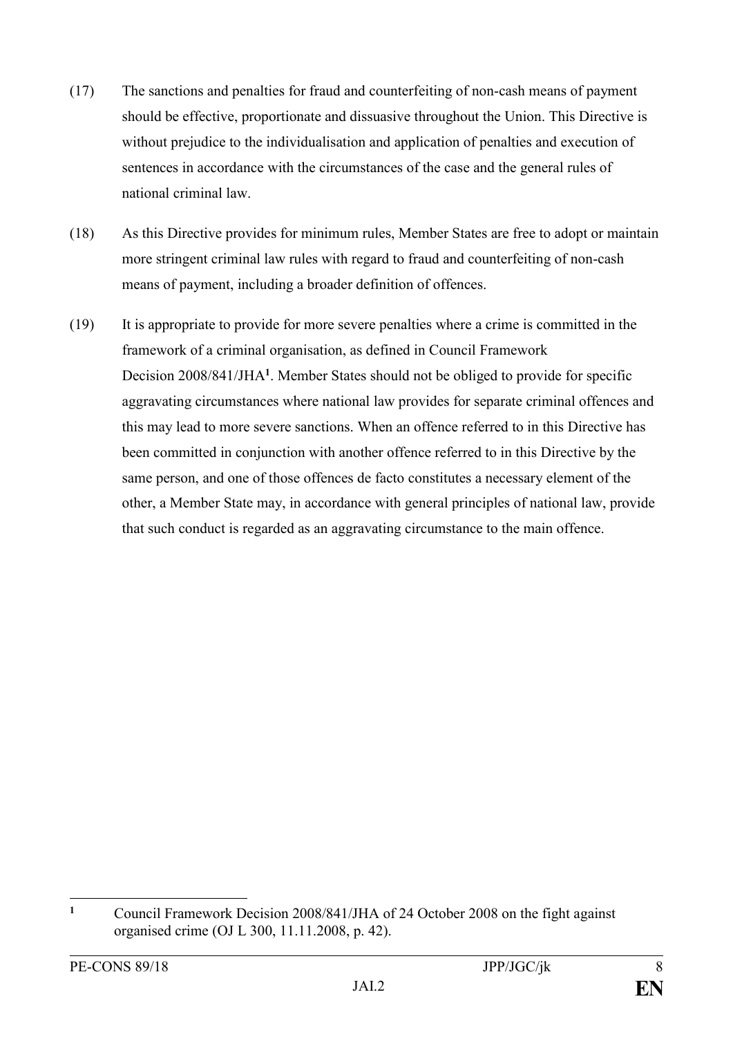- (17) The sanctions and penalties for fraud and counterfeiting of non-cash means of payment should be effective, proportionate and dissuasive throughout the Union. This Directive is without prejudice to the individualisation and application of penalties and execution of sentences in accordance with the circumstances of the case and the general rules of national criminal law.
- (18) As this Directive provides for minimum rules, Member States are free to adopt or maintain more stringent criminal law rules with regard to fraud and counterfeiting of non-cash means of payment, including a broader definition of offences.
- (19) It is appropriate to provide for more severe penalties where a crime is committed in the framework of a criminal organisation, as defined in Council Framework Decision 2008/841/JHA**<sup>1</sup>** . Member States should not be obliged to provide for specific aggravating circumstances where national law provides for separate criminal offences and this may lead to more severe sanctions. When an offence referred to in this Directive has been committed in conjunction with another offence referred to in this Directive by the same person, and one of those offences de facto constitutes a necessary element of the other, a Member State may, in accordance with general principles of national law, provide that such conduct is regarded as an aggravating circumstance to the main offence.

 $\mathbf{1}$ **<sup>1</sup>** Council Framework Decision 2008/841/JHA of 24 October 2008 on the fight against organised crime (OJ L 300, 11.11.2008, p. 42).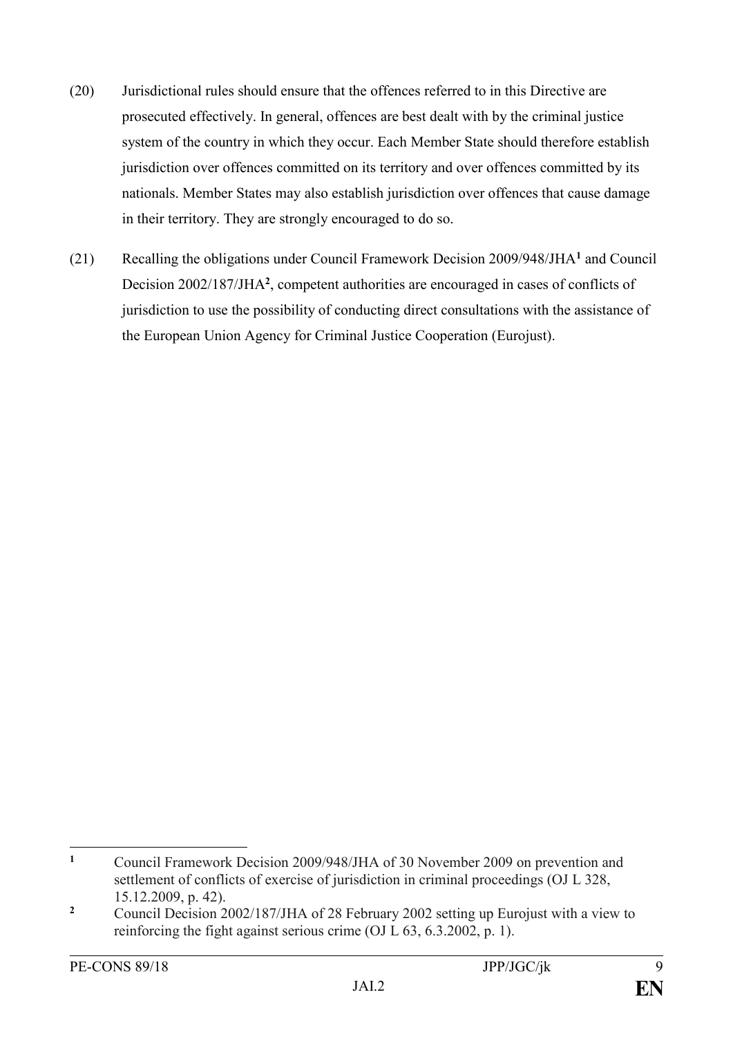- (20) Jurisdictional rules should ensure that the offences referred to in this Directive are prosecuted effectively. In general, offences are best dealt with by the criminal justice system of the country in which they occur. Each Member State should therefore establish jurisdiction over offences committed on its territory and over offences committed by its nationals. Member States may also establish jurisdiction over offences that cause damage in their territory. They are strongly encouraged to do so.
- (21) Recalling the obligations under Council Framework Decision 2009/948/JHA**<sup>1</sup>** and Council Decision 2002/187/JHA**<sup>2</sup>** , competent authorities are encouraged in cases of conflicts of jurisdiction to use the possibility of conducting direct consultations with the assistance of the European Union Agency for Criminal Justice Cooperation (Eurojust).

 $\mathbf{1}$ **<sup>1</sup>** Council Framework Decision 2009/948/JHA of 30 November 2009 on prevention and settlement of conflicts of exercise of jurisdiction in criminal proceedings (OJ L 328, 15.12.2009, p. 42).

<sup>&</sup>lt;sup>2</sup> Council Decision 2002/187/JHA of 28 February 2002 setting up Eurojust with a view to reinforcing the fight against serious crime (OJ L 63, 6.3.2002, p. 1).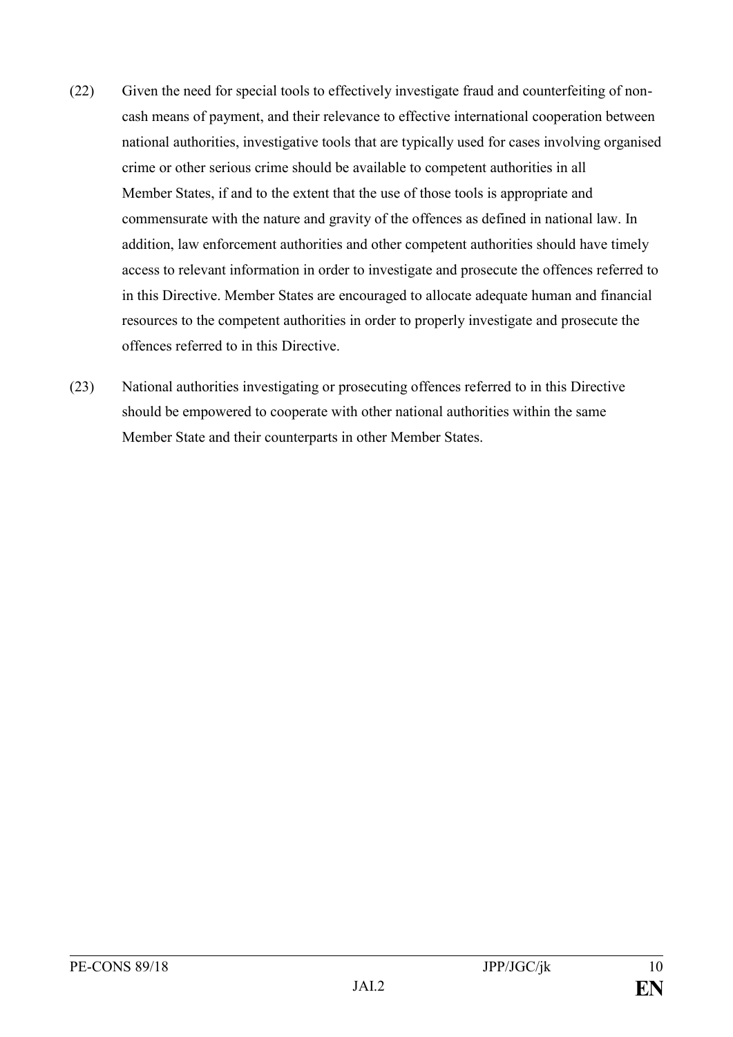- (22) Given the need for special tools to effectively investigate fraud and counterfeiting of noncash means of payment, and their relevance to effective international cooperation between national authorities, investigative tools that are typically used for cases involving organised crime or other serious crime should be available to competent authorities in all Member States, if and to the extent that the use of those tools is appropriate and commensurate with the nature and gravity of the offences as defined in national law. In addition, law enforcement authorities and other competent authorities should have timely access to relevant information in order to investigate and prosecute the offences referred to in this Directive. Member States are encouraged to allocate adequate human and financial resources to the competent authorities in order to properly investigate and prosecute the offences referred to in this Directive.
- (23) National authorities investigating or prosecuting offences referred to in this Directive should be empowered to cooperate with other national authorities within the same Member State and their counterparts in other Member States.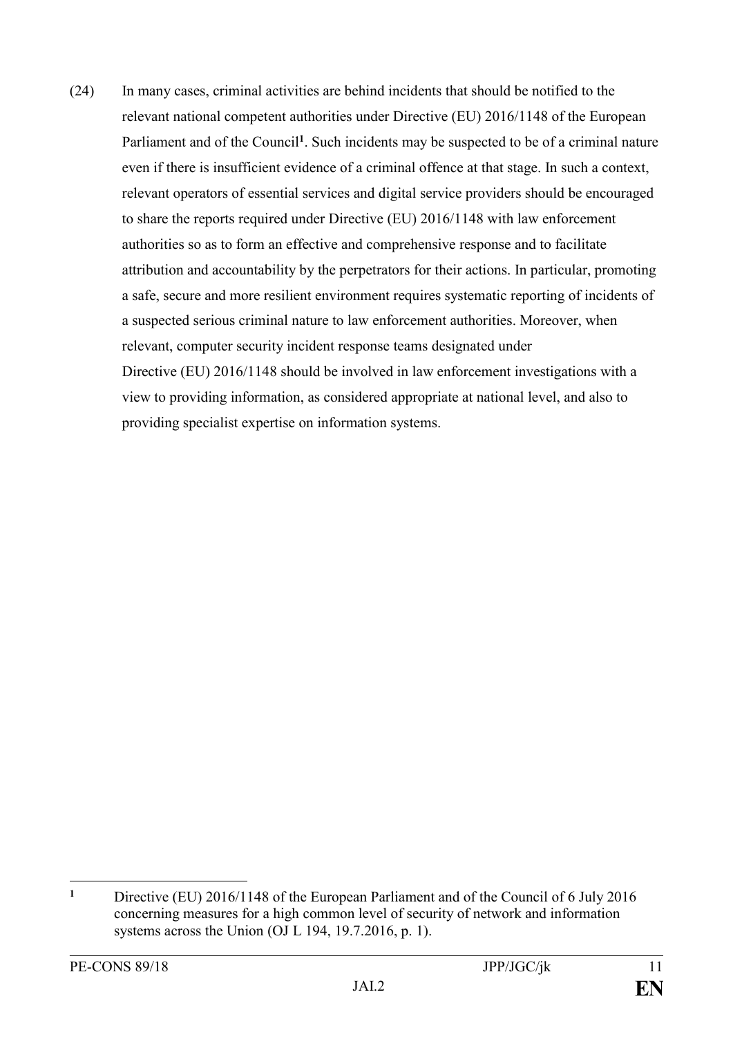(24) In many cases, criminal activities are behind incidents that should be notified to the relevant national competent authorities under Directive (EU) 2016/1148 of the European Parliament and of the Council<sup>1</sup>. Such incidents may be suspected to be of a criminal nature even if there is insufficient evidence of a criminal offence at that stage. In such a context, relevant operators of essential services and digital service providers should be encouraged to share the reports required under Directive (EU) 2016/1148 with law enforcement authorities so as to form an effective and comprehensive response and to facilitate attribution and accountability by the perpetrators for their actions. In particular, promoting a safe, secure and more resilient environment requires systematic reporting of incidents of a suspected serious criminal nature to law enforcement authorities. Moreover, when relevant, computer security incident response teams designated under Directive (EU) 2016/1148 should be involved in law enforcement investigations with a view to providing information, as considered appropriate at national level, and also to providing specialist expertise on information systems.

<u>.</u>

**<sup>1</sup>** [Directive \(EU\) 2016/1148 of the European Parliament and of the Council of 6 July 2016](https://eur-lex.europa.eu/legal-content/AUTO/?uri=CELEX:32016L1148&qid=1546703835106&rid=1)  [concerning measures for a high common level of security of network and information](https://eur-lex.europa.eu/legal-content/AUTO/?uri=CELEX:32016L1148&qid=1546703835106&rid=1)  [systems across the Union](https://eur-lex.europa.eu/legal-content/AUTO/?uri=CELEX:32016L1148&qid=1546703835106&rid=1) (OJ L 194, 19.7.2016, p. 1).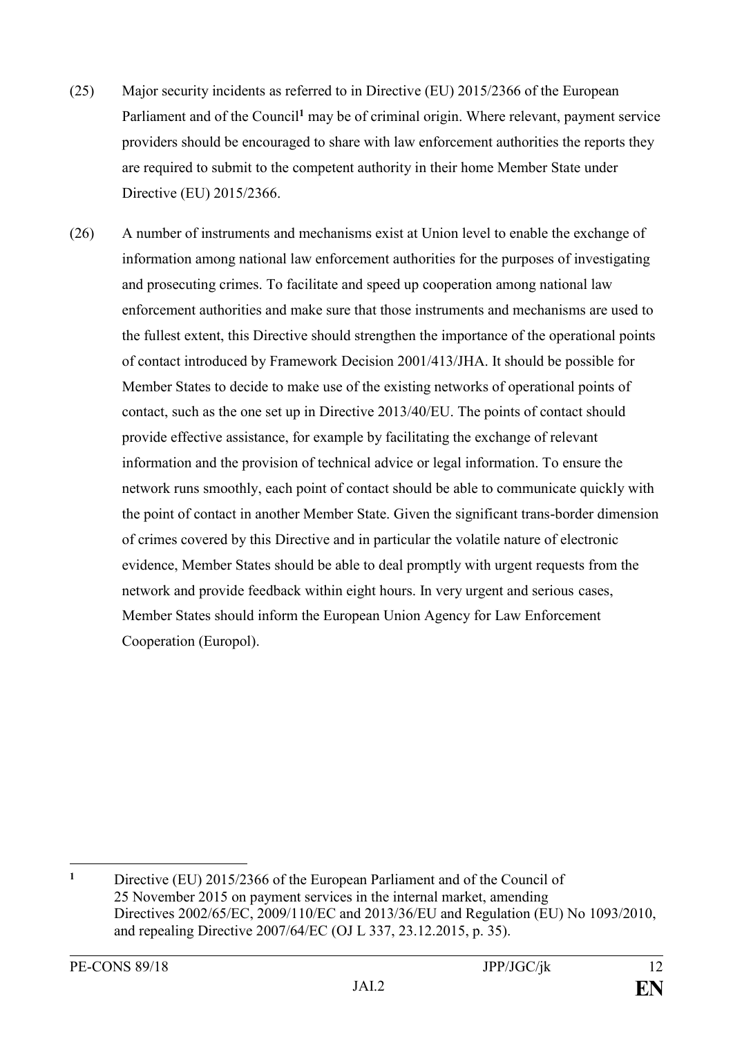- (25) Major security incidents as referred to in Directive (EU) 2015/2366 of the European Parliament and of the Council<sup>1</sup> may be of criminal origin. Where relevant, payment service providers should be encouraged to share with law enforcement authorities the reports they are required to submit to the competent authority in their home Member State under Directive (EU) 2015/2366.
- (26) A number of instruments and mechanisms exist at Union level to enable the exchange of information among national law enforcement authorities for the purposes of investigating and prosecuting crimes. To facilitate and speed up cooperation among national law enforcement authorities and make sure that those instruments and mechanisms are used to the fullest extent, this Directive should strengthen the importance of the operational points of contact introduced by Framework Decision 2001/413/JHA. It should be possible for Member States to decide to make use of the existing networks of operational points of contact, such as the one set up in Directive 2013/40/EU. The points of contact should provide effective assistance, for example by facilitating the exchange of relevant information and the provision of technical advice or legal information. To ensure the network runs smoothly, each point of contact should be able to communicate quickly with the point of contact in another Member State. Given the significant trans-border dimension of crimes covered by this Directive and in particular the volatile nature of electronic evidence, Member States should be able to deal promptly with urgent requests from the network and provide feedback within eight hours. In very urgent and serious cases, Member States should inform the European Union Agency for Law Enforcement Cooperation (Europol).

<sup>1</sup> **<sup>1</sup>** Directive (EU) 2015/2366 of the European Parliament and of the Council of 25 November 2015 on payment services in the internal market, amending Directives 2002/65/EC, 2009/110/EC and 2013/36/EU and Regulation (EU) No 1093/2010, and repealing Directive 2007/64/EC (OJ L 337, 23.12.2015, p. 35).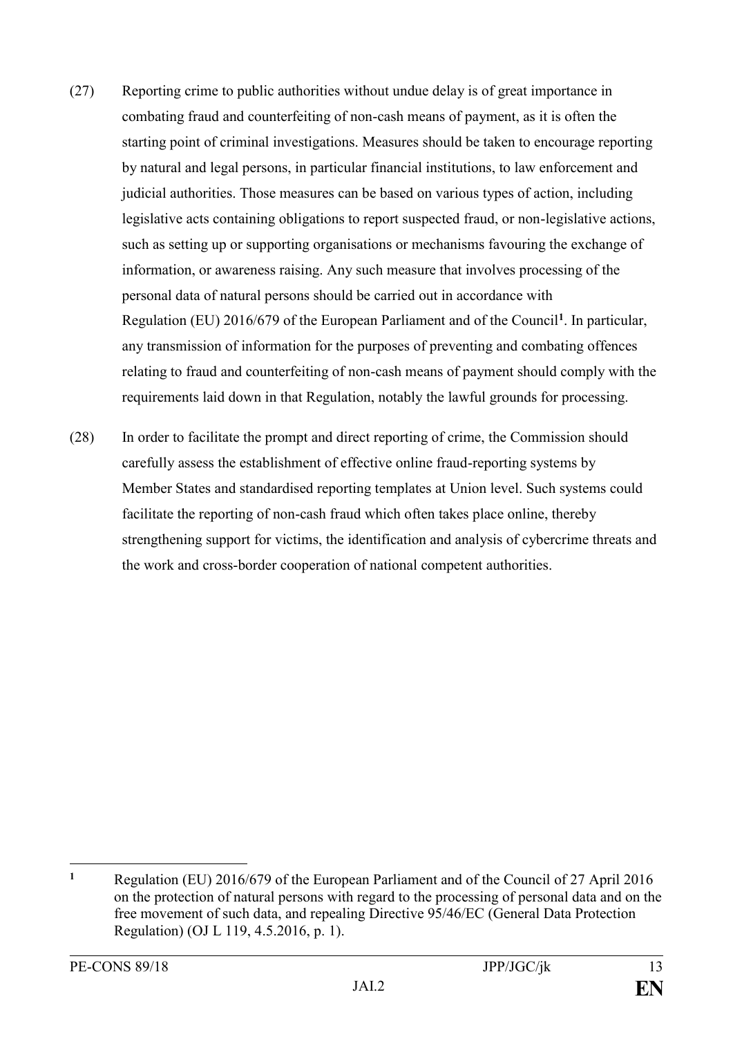- (27) Reporting crime to public authorities without undue delay is of great importance in combating fraud and counterfeiting of non-cash means of payment, as it is often the starting point of criminal investigations. Measures should be taken to encourage reporting by natural and legal persons, in particular financial institutions, to law enforcement and judicial authorities. Those measures can be based on various types of action, including legislative acts containing obligations to report suspected fraud, or non-legislative actions, such as setting up or supporting organisations or mechanisms favouring the exchange of information, or awareness raising. Any such measure that involves processing of the personal data of natural persons should be carried out in accordance with Regulation (EU) 2016/679 of the European Parliament and of the Council**<sup>1</sup>** . In particular, any transmission of information for the purposes of preventing and combating offences relating to fraud and counterfeiting of non-cash means of payment should comply with the requirements laid down in that Regulation, notably the lawful grounds for processing.
- (28) In order to facilitate the prompt and direct reporting of crime, the Commission should carefully assess the establishment of effective online fraud-reporting systems by Member States and standardised reporting templates at Union level. Such systems could facilitate the reporting of non-cash fraud which often takes place online, thereby strengthening support for victims, the identification and analysis of cybercrime threats and the work and cross-border cooperation of national competent authorities.

 $\mathbf{1}$ **<sup>1</sup>** Regulation (EU) 2016/679 of the European Parliament and of the Council of 27 April 2016 on the protection of natural persons with regard to the processing of personal data and on the free movement of such data, and repealing Directive 95/46/EC (General Data Protection Regulation) (OJ L 119, 4.5.2016, p. 1).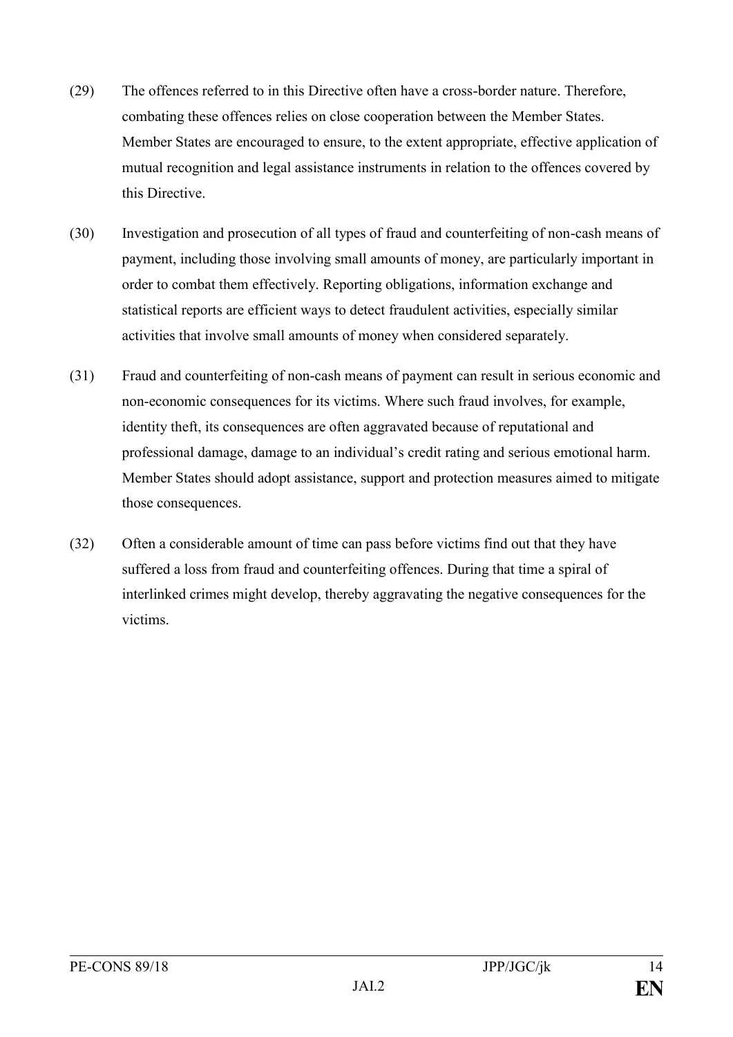- (29) The offences referred to in this Directive often have a cross-border nature. Therefore, combating these offences relies on close cooperation between the Member States. Member States are encouraged to ensure, to the extent appropriate, effective application of mutual recognition and legal assistance instruments in relation to the offences covered by this Directive.
- (30) Investigation and prosecution of all types of fraud and counterfeiting of non-cash means of payment, including those involving small amounts of money, are particularly important in order to combat them effectively. Reporting obligations, information exchange and statistical reports are efficient ways to detect fraudulent activities, especially similar activities that involve small amounts of money when considered separately.
- (31) Fraud and counterfeiting of non-cash means of payment can result in serious economic and non-economic consequences for its victims. Where such fraud involves, for example, identity theft, its consequences are often aggravated because of reputational and professional damage, damage to an individual's credit rating and serious emotional harm. Member States should adopt assistance, support and protection measures aimed to mitigate those consequences.
- (32) Often a considerable amount of time can pass before victims find out that they have suffered a loss from fraud and counterfeiting offences. During that time a spiral of interlinked crimes might develop, thereby aggravating the negative consequences for the victims.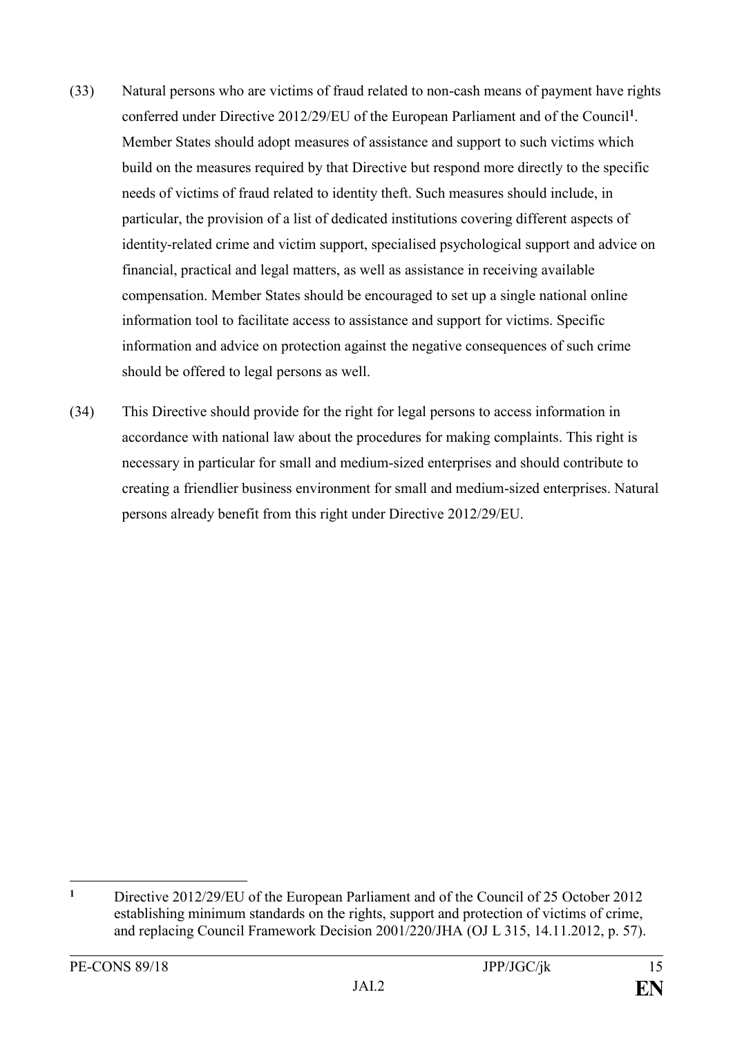- (33) Natural persons who are victims of fraud related to non-cash means of payment have rights conferred under Directive 2012/29/EU of the European Parliament and of the Council**<sup>1</sup>** . Member States should adopt measures of assistance and support to such victims which build on the measures required by that Directive but respond more directly to the specific needs of victims of fraud related to identity theft. Such measures should include, in particular, the provision of a list of dedicated institutions covering different aspects of identity-related crime and victim support, specialised psychological support and advice on financial, practical and legal matters, as well as assistance in receiving available compensation. Member States should be encouraged to set up a single national online information tool to facilitate access to assistance and support for victims. Specific information and advice on protection against the negative consequences of such crime should be offered to legal persons as well.
- (34) This Directive should provide for the right for legal persons to access information in accordance with national law about the procedures for making complaints. This right is necessary in particular for small and medium-sized enterprises and should contribute to creating a friendlier business environment for small and medium-sized enterprises. Natural persons already benefit from this right under Directive 2012/29/EU.

<u>.</u>

**<sup>1</sup>** [Directive 2012/29/EU of the European Parliament and of the Council of 25](https://eur-lex.europa.eu/legal-content/AUTO/?uri=CELEX:32012L0029&qid=1546706296756&rid=1) October 2012 [establishing minimum standards on the rights, support and protection of victims of crime,](https://eur-lex.europa.eu/legal-content/AUTO/?uri=CELEX:32012L0029&qid=1546706296756&rid=1)  [and replacing Council Framework Decision 2001/220/JHA](https://eur-lex.europa.eu/legal-content/AUTO/?uri=CELEX:32012L0029&qid=1546706296756&rid=1) (OJ L 315, 14.11.2012, p. 57).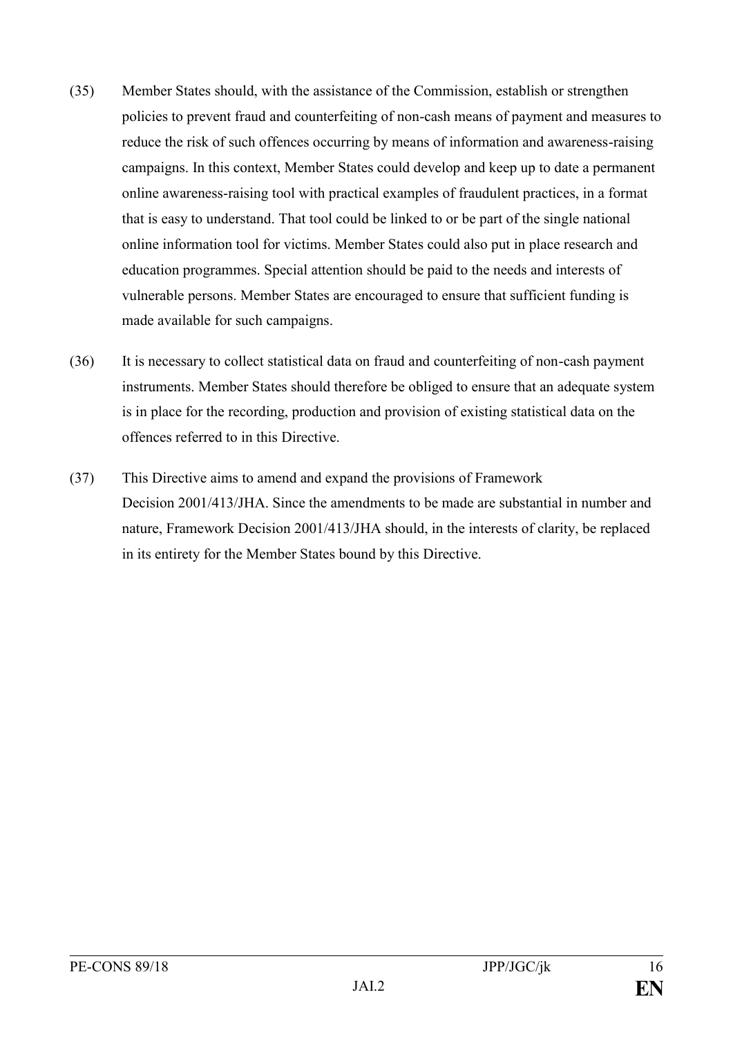- (35) Member States should, with the assistance of the Commission, establish or strengthen policies to prevent fraud and counterfeiting of non-cash means of payment and measures to reduce the risk of such offences occurring by means of information and awareness-raising campaigns. In this context, Member States could develop and keep up to date a permanent online awareness-raising tool with practical examples of fraudulent practices, in a format that is easy to understand. That tool could be linked to or be part of the single national online information tool for victims. Member States could also put in place research and education programmes. Special attention should be paid to the needs and interests of vulnerable persons. Member States are encouraged to ensure that sufficient funding is made available for such campaigns.
- (36) It is necessary to collect statistical data on fraud and counterfeiting of non-cash payment instruments. Member States should therefore be obliged to ensure that an adequate system is in place for the recording, production and provision of existing statistical data on the offences referred to in this Directive.
- (37) This Directive aims to amend and expand the provisions of Framework Decision 2001/413/JHA. Since the amendments to be made are substantial in number and nature, Framework Decision 2001/413/JHA should, in the interests of clarity, be replaced in its entirety for the Member States bound by this Directive.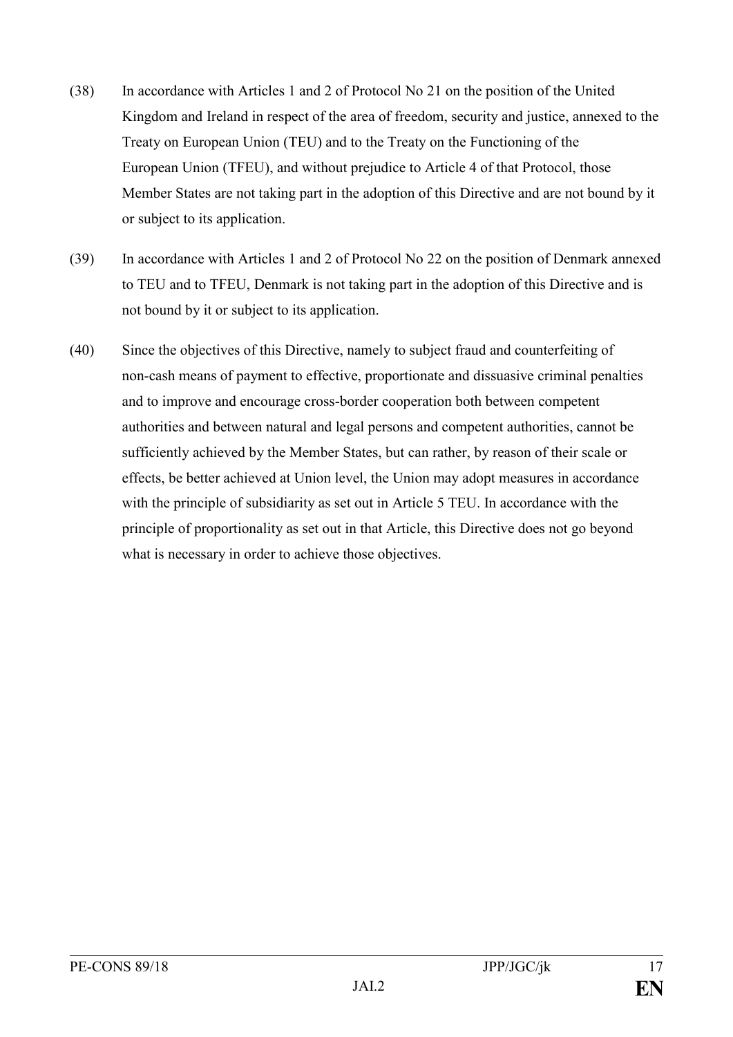- (38) In accordance with Articles 1 and 2 of Protocol No 21 on the position of the United Kingdom and Ireland in respect of the area of freedom, security and justice, annexed to the Treaty on European Union (TEU) and to the Treaty on the Functioning of the European Union (TFEU), and without prejudice to Article 4 of that Protocol, those Member States are not taking part in the adoption of this Directive and are not bound by it or subject to its application.
- (39) In accordance with Articles 1 and 2 of Protocol No 22 on the position of Denmark annexed to TEU and to TFEU, Denmark is not taking part in the adoption of this Directive and is not bound by it or subject to its application.
- (40) Since the objectives of this Directive, namely to subject fraud and counterfeiting of non-cash means of payment to effective, proportionate and dissuasive criminal penalties and to improve and encourage cross-border cooperation both between competent authorities and between natural and legal persons and competent authorities, cannot be sufficiently achieved by the Member States, but can rather, by reason of their scale or effects, be better achieved at Union level, the Union may adopt measures in accordance with the principle of subsidiarity as set out in Article 5 TEU. In accordance with the principle of proportionality as set out in that Article, this Directive does not go beyond what is necessary in order to achieve those objectives.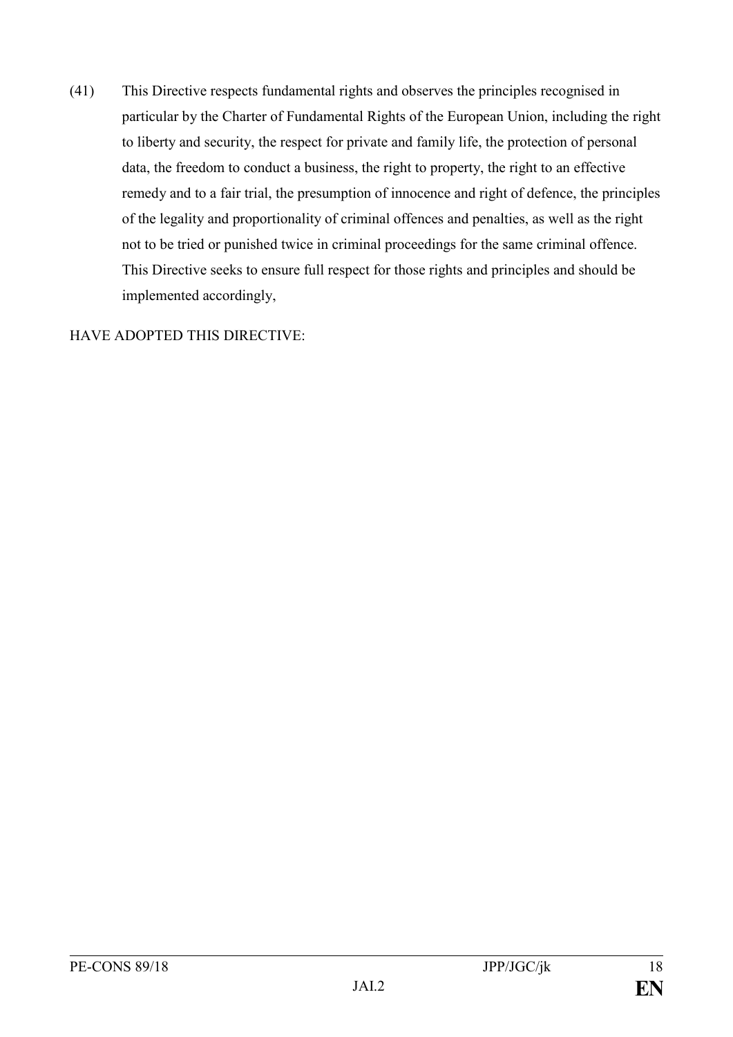(41) This Directive respects fundamental rights and observes the principles recognised in particular by the Charter of Fundamental Rights of the European Union, including the right to liberty and security, the respect for private and family life, the protection of personal data, the freedom to conduct a business, the right to property, the right to an effective remedy and to a fair trial, the presumption of innocence and right of defence, the principles of the legality and proportionality of criminal offences and penalties, as well as the right not to be tried or punished twice in criminal proceedings for the same criminal offence. This Directive seeks to ensure full respect for those rights and principles and should be implemented accordingly,

#### HAVE ADOPTED THIS DIRECTIVE: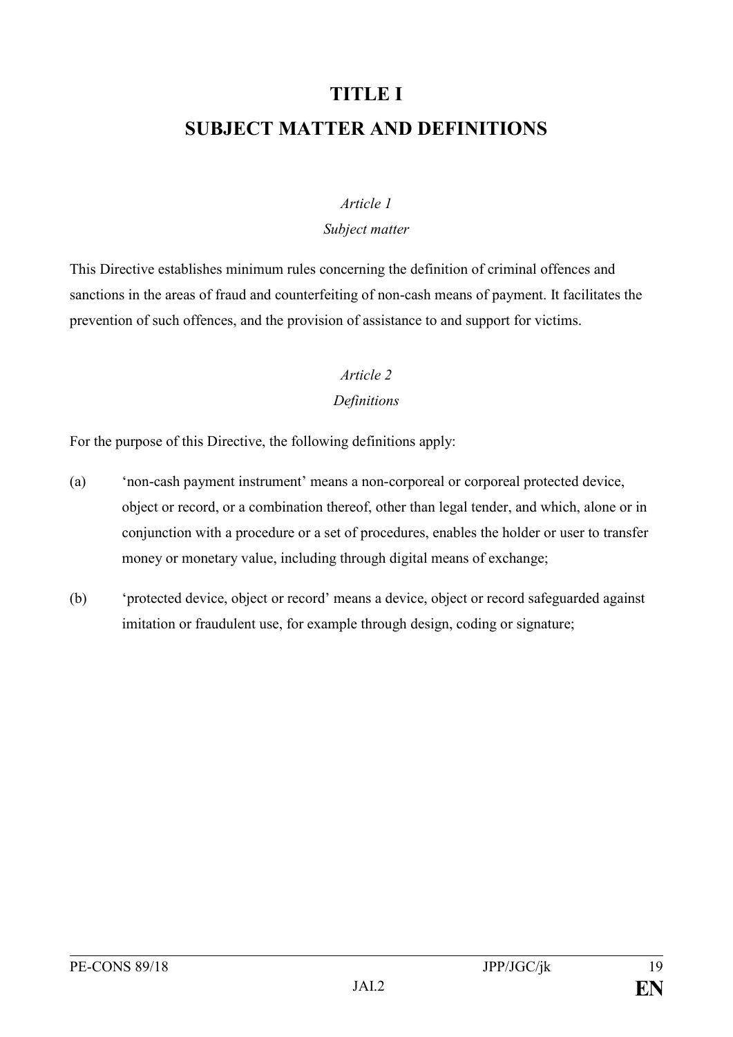# **TITLE I SUBJECT MATTER AND DEFINITIONS**

#### *Article 1*

#### *Subject matter*

This Directive establishes minimum rules concerning the definition of criminal offences and sanctions in the areas of fraud and counterfeiting of non-cash means of payment. It facilitates the prevention of such offences, and the provision of assistance to and support for victims.

# *Article 2*

#### *Definitions*

For the purpose of this Directive, the following definitions apply:

- (a) 'non-cash payment instrument' means a non-corporeal or corporeal protected device, object or record, or a combination thereof, other than legal tender, and which, alone or in conjunction with a procedure or a set of procedures, enables the holder or user to transfer money or monetary value, including through digital means of exchange;
- (b) 'protected device, object or record' means a device, object or record safeguarded against imitation or fraudulent use, for example through design, coding or signature;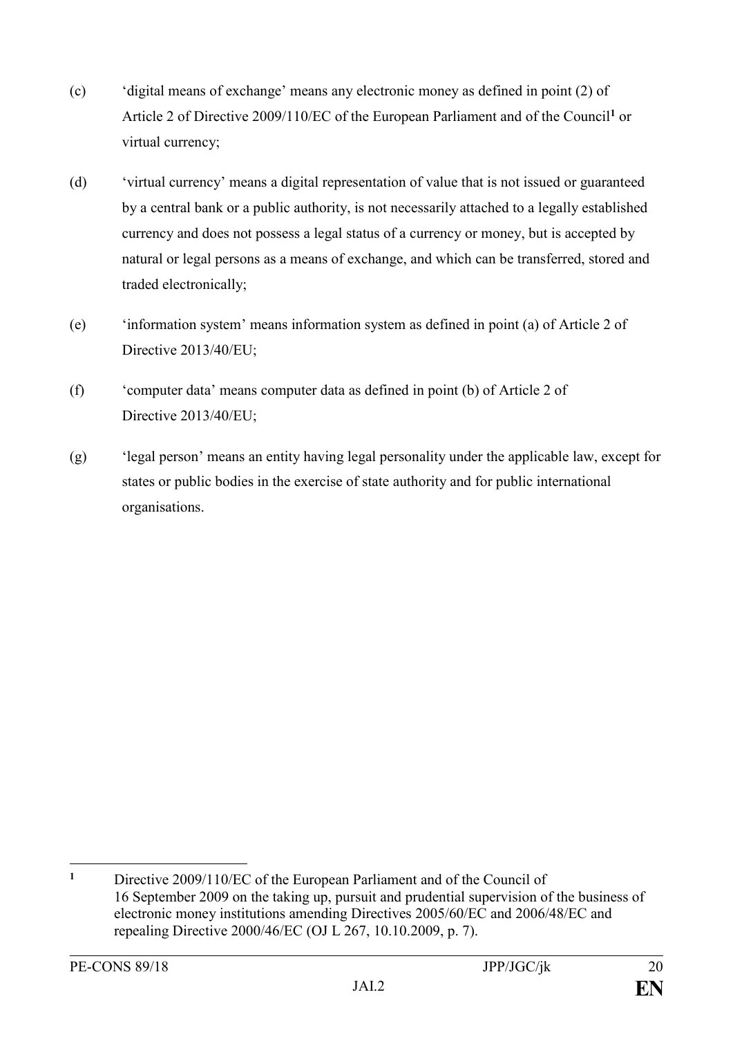- (c) 'digital means of exchange' means any electronic money as defined in point (2) of Article 2 of Directive 2009/110/EC of the European Parliament and of the Council**<sup>1</sup>** or virtual currency;
- (d) 'virtual currency' means a digital representation of value that is not issued or guaranteed by a central bank or a public authority, is not necessarily attached to a legally established currency and does not possess a legal status of a currency or money, but is accepted by natural or legal persons as a means of exchange, and which can be transferred, stored and traded electronically;
- (e) 'information system' means information system as defined in point (a) of Article 2 of Directive 2013/40/EU;
- (f) 'computer data' means computer data as defined in point (b) of Article 2 of Directive 2013/40/EU;
- (g) 'legal person' means an entity having legal personality under the applicable law, except for states or public bodies in the exercise of state authority and for public international organisations.

 $\mathbf{1}$ **<sup>1</sup>** Directive 2009/110/EC of the European Parliament and of the Council of 16 September 2009 on the taking up, pursuit and prudential supervision of the business of electronic money institutions amending Directives 2005/60/EC and 2006/48/EC and repealing Directive 2000/46/EC (OJ L 267, 10.10.2009, p. 7).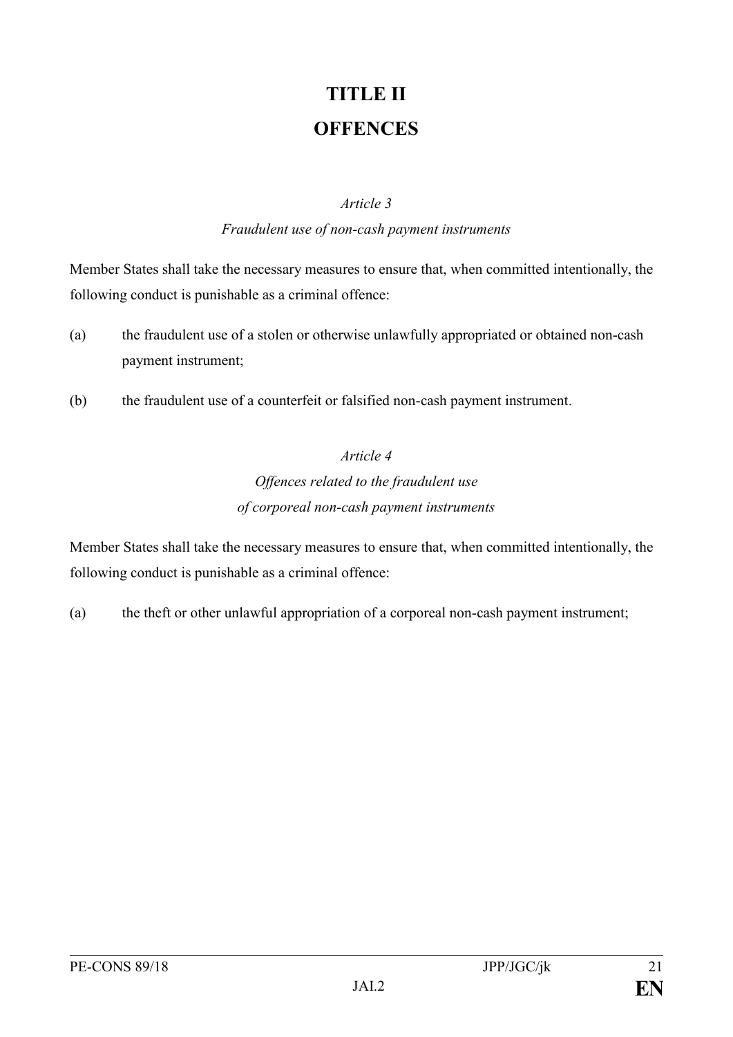# **TITLE II OFFENCES**

#### *Article 3*

#### *Fraudulent use of non-cash payment instruments*

Member States shall take the necessary measures to ensure that, when committed intentionally, the following conduct is punishable as a criminal offence:

- (a) the fraudulent use of a stolen or otherwise unlawfully appropriated or obtained non-cash payment instrument;
- (b) the fraudulent use of a counterfeit or falsified non-cash payment instrument.

### *Article 4*

# *Offences related to the fraudulent use of corporeal non-cash payment instruments*

Member States shall take the necessary measures to ensure that, when committed intentionally, the following conduct is punishable as a criminal offence:

(a) the theft or other unlawful appropriation of a corporeal non-cash payment instrument;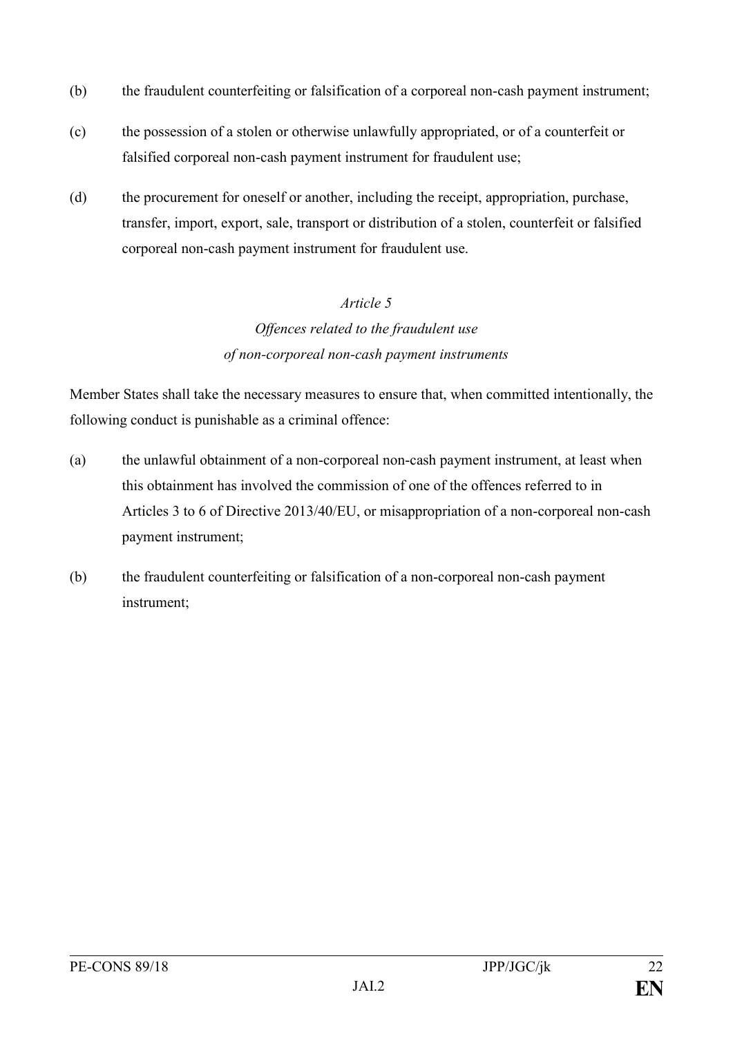- (b) the fraudulent counterfeiting or falsification of a corporeal non-cash payment instrument;
- (c) the possession of a stolen or otherwise unlawfully appropriated, or of a counterfeit or falsified corporeal non-cash payment instrument for fraudulent use;
- (d) the procurement for oneself or another, including the receipt, appropriation, purchase, transfer, import, export, sale, transport or distribution of a stolen, counterfeit or falsified corporeal non-cash payment instrument for fraudulent use.

# *Article 5 Offences related to the fraudulent use of non-corporeal non-cash payment instruments*

Member States shall take the necessary measures to ensure that, when committed intentionally, the following conduct is punishable as a criminal offence:

- (a) the unlawful obtainment of a non-corporeal non-cash payment instrument, at least when this obtainment has involved the commission of one of the offences referred to in Articles 3 to 6 of Directive 2013/40/EU, or misappropriation of a non-corporeal non-cash payment instrument;
- (b) the fraudulent counterfeiting or falsification of a non-corporeal non-cash payment instrument;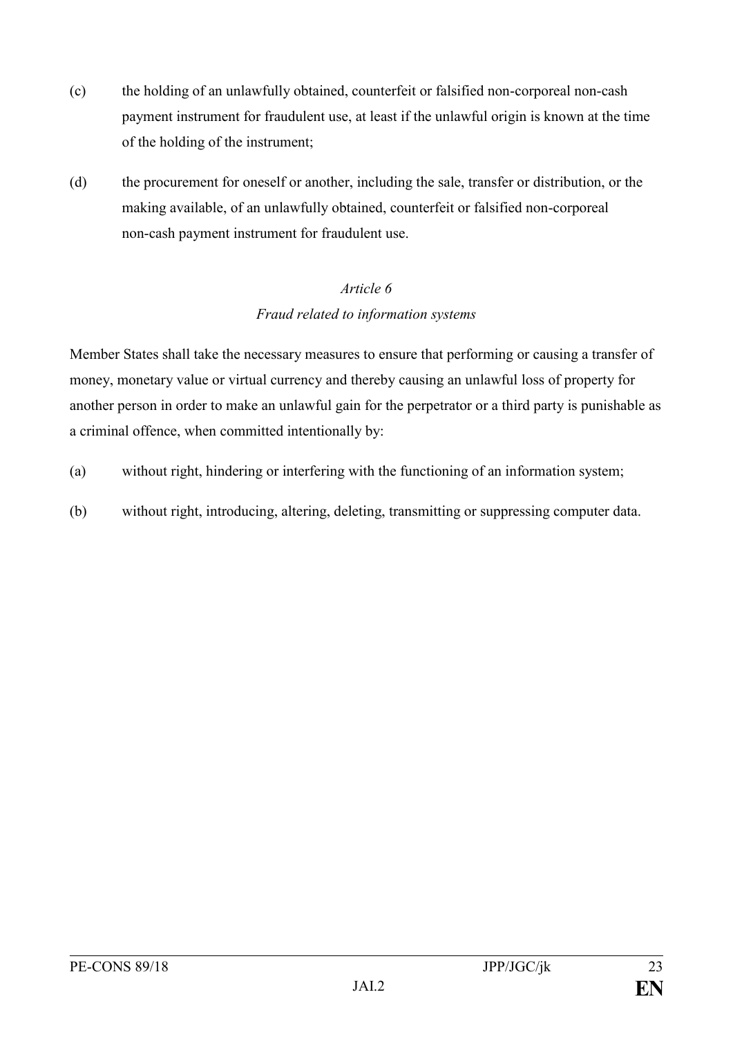- (c) the holding of an unlawfully obtained, counterfeit or falsified non-corporeal non-cash payment instrument for fraudulent use, at least if the unlawful origin is known at the time of the holding of the instrument;
- (d) the procurement for oneself or another, including the sale, transfer or distribution, or the making available, of an unlawfully obtained, counterfeit or falsified non-corporeal non-cash payment instrument for fraudulent use.

### *Article 6 Fraud related to information systems*

Member States shall take the necessary measures to ensure that performing or causing a transfer of money, monetary value or virtual currency and thereby causing an unlawful loss of property for another person in order to make an unlawful gain for the perpetrator or a third party is punishable as a criminal offence, when committed intentionally by:

- (a) without right, hindering or interfering with the functioning of an information system;
- (b) without right, introducing, altering, deleting, transmitting or suppressing computer data.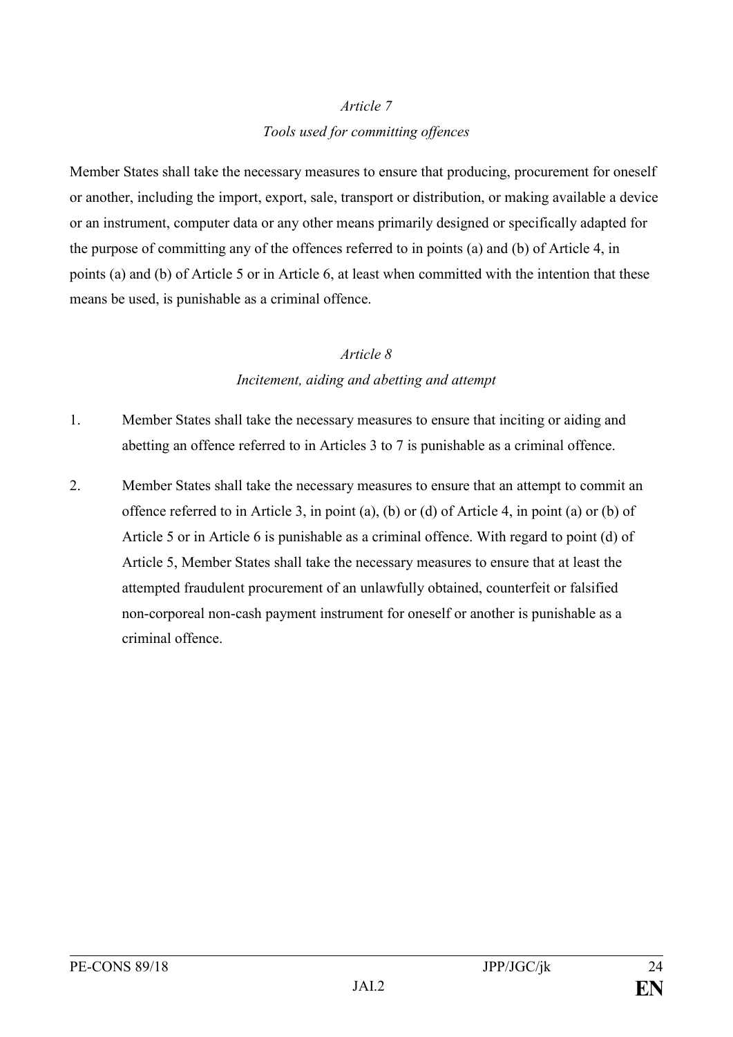#### *Article 7*

#### *Tools used for committing offences*

Member States shall take the necessary measures to ensure that producing, procurement for oneself or another, including the import, export, sale, transport or distribution, or making available a device or an instrument, computer data or any other means primarily designed or specifically adapted for the purpose of committing any of the offences referred to in points (a) and (b) of Article 4, in points (a) and (b) of Article 5 or in Article 6, at least when committed with the intention that these means be used, is punishable as a criminal offence.

#### *Article 8*

### *Incitement, aiding and abetting and attempt*

- 1. Member States shall take the necessary measures to ensure that inciting or aiding and abetting an offence referred to in Articles 3 to 7 is punishable as a criminal offence.
- 2. Member States shall take the necessary measures to ensure that an attempt to commit an offence referred to in Article 3, in point (a), (b) or (d) of Article 4, in point (a) or (b) of Article 5 or in Article 6 is punishable as a criminal offence. With regard to point (d) of Article 5, Member States shall take the necessary measures to ensure that at least the attempted fraudulent procurement of an unlawfully obtained, counterfeit or falsified non-corporeal non-cash payment instrument for oneself or another is punishable as a criminal offence.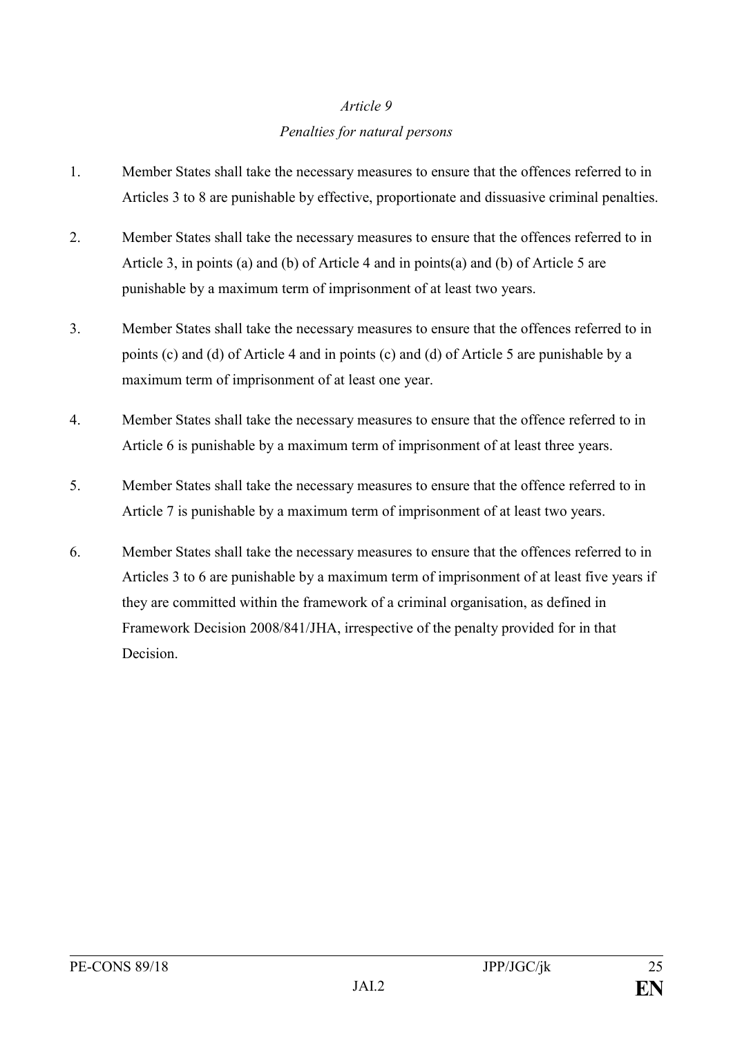# *Article 9 Penalties for natural persons*

- 1. Member States shall take the necessary measures to ensure that the offences referred to in Articles 3 to 8 are punishable by effective, proportionate and dissuasive criminal penalties.
- 2. Member States shall take the necessary measures to ensure that the offences referred to in Article 3, in points (a) and (b) of Article 4 and in points(a) and (b) of Article 5 are punishable by a maximum term of imprisonment of at least two years.
- 3. Member States shall take the necessary measures to ensure that the offences referred to in points (c) and (d) of Article 4 and in points (c) and (d) of Article 5 are punishable by a maximum term of imprisonment of at least one year.
- 4. Member States shall take the necessary measures to ensure that the offence referred to in Article 6 is punishable by a maximum term of imprisonment of at least three years.
- 5. Member States shall take the necessary measures to ensure that the offence referred to in Article 7 is punishable by a maximum term of imprisonment of at least two years.
- 6. Member States shall take the necessary measures to ensure that the offences referred to in Articles 3 to 6 are punishable by a maximum term of imprisonment of at least five years if they are committed within the framework of a criminal organisation, as defined in Framework Decision 2008/841/JHA, irrespective of the penalty provided for in that Decision.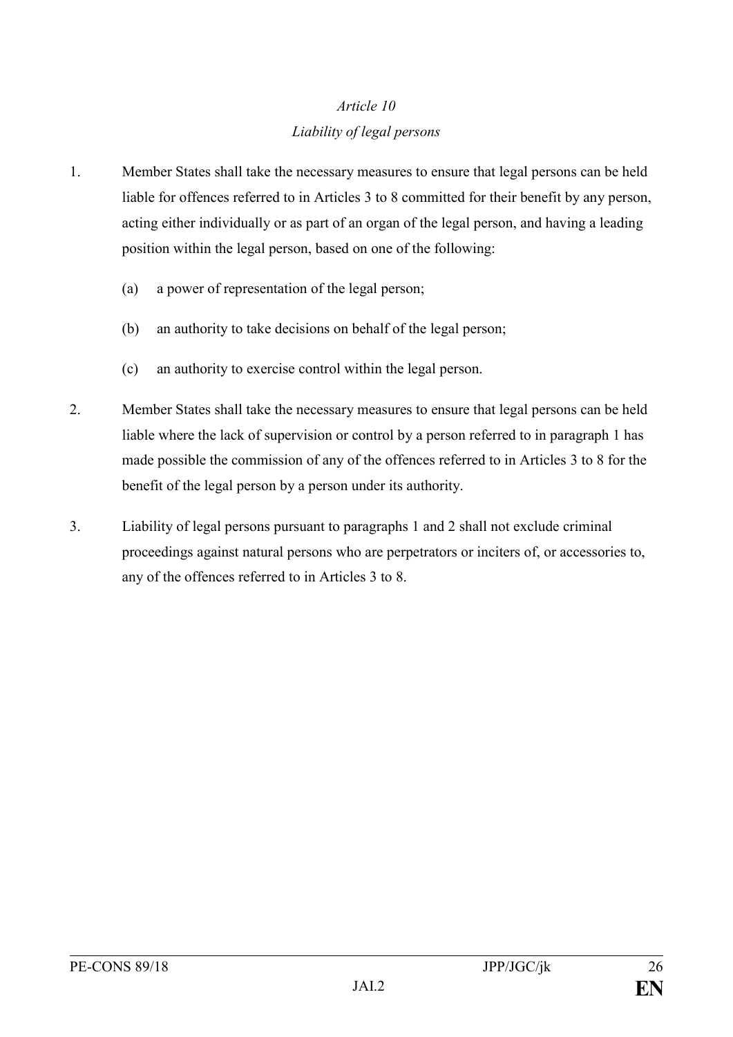# *Article 10 Liability of legal persons*

- 1. Member States shall take the necessary measures to ensure that legal persons can be held liable for offences referred to in Articles 3 to 8 committed for their benefit by any person, acting either individually or as part of an organ of the legal person, and having a leading position within the legal person, based on one of the following:
	- (a) a power of representation of the legal person;
	- (b) an authority to take decisions on behalf of the legal person;
	- (c) an authority to exercise control within the legal person.
- 2. Member States shall take the necessary measures to ensure that legal persons can be held liable where the lack of supervision or control by a person referred to in paragraph 1 has made possible the commission of any of the offences referred to in Articles 3 to 8 for the benefit of the legal person by a person under its authority.
- 3. Liability of legal persons pursuant to paragraphs 1 and 2 shall not exclude criminal proceedings against natural persons who are perpetrators or inciters of, or accessories to, any of the offences referred to in Articles 3 to 8.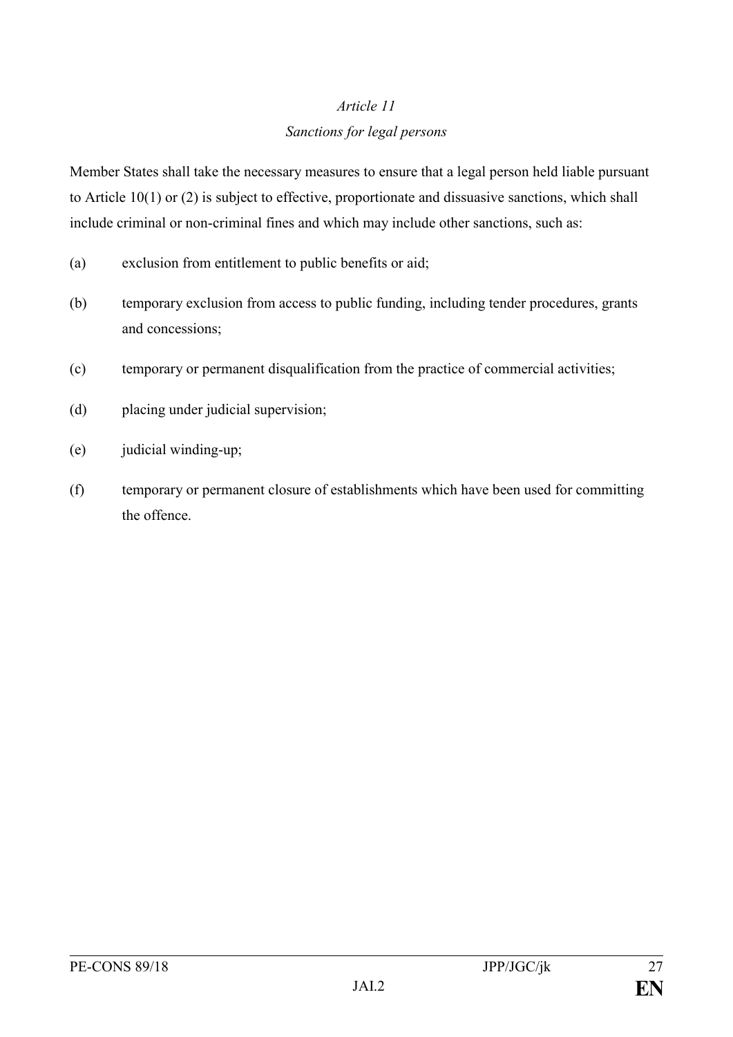# *Article 11 Sanctions for legal persons*

Member States shall take the necessary measures to ensure that a legal person held liable pursuant to Article 10(1) or (2) is subject to effective, proportionate and dissuasive sanctions, which shall include criminal or non-criminal fines and which may include other sanctions, such as:

- (a) exclusion from entitlement to public benefits or aid;
- (b) temporary exclusion from access to public funding, including tender procedures, grants and concessions;
- (c) temporary or permanent disqualification from the practice of commercial activities;
- (d) placing under judicial supervision;
- (e) judicial winding-up;
- (f) temporary or permanent closure of establishments which have been used for committing the offence.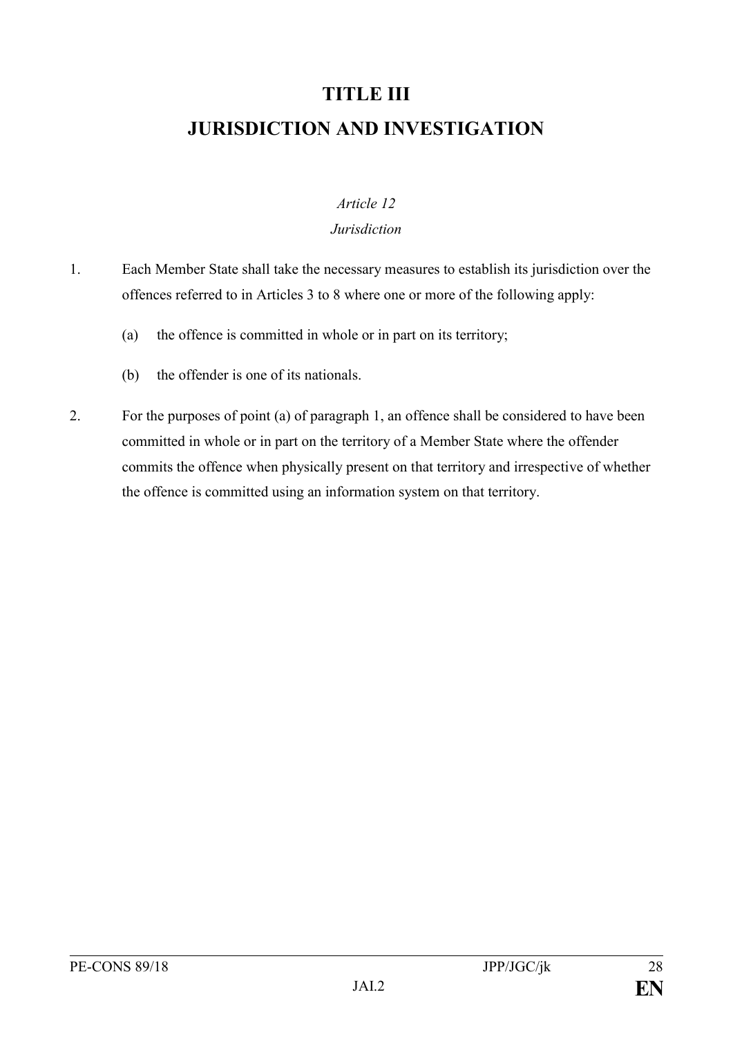# **TITLE III JURISDICTION AND INVESTIGATION**

#### *Article 12*

#### *Jurisdiction*

- 1. Each Member State shall take the necessary measures to establish its jurisdiction over the offences referred to in Articles 3 to 8 where one or more of the following apply:
	- (a) the offence is committed in whole or in part on its territory;
	- (b) the offender is one of its nationals.
- 2. For the purposes of point (a) of paragraph 1, an offence shall be considered to have been committed in whole or in part on the territory of a Member State where the offender commits the offence when physically present on that territory and irrespective of whether the offence is committed using an information system on that territory.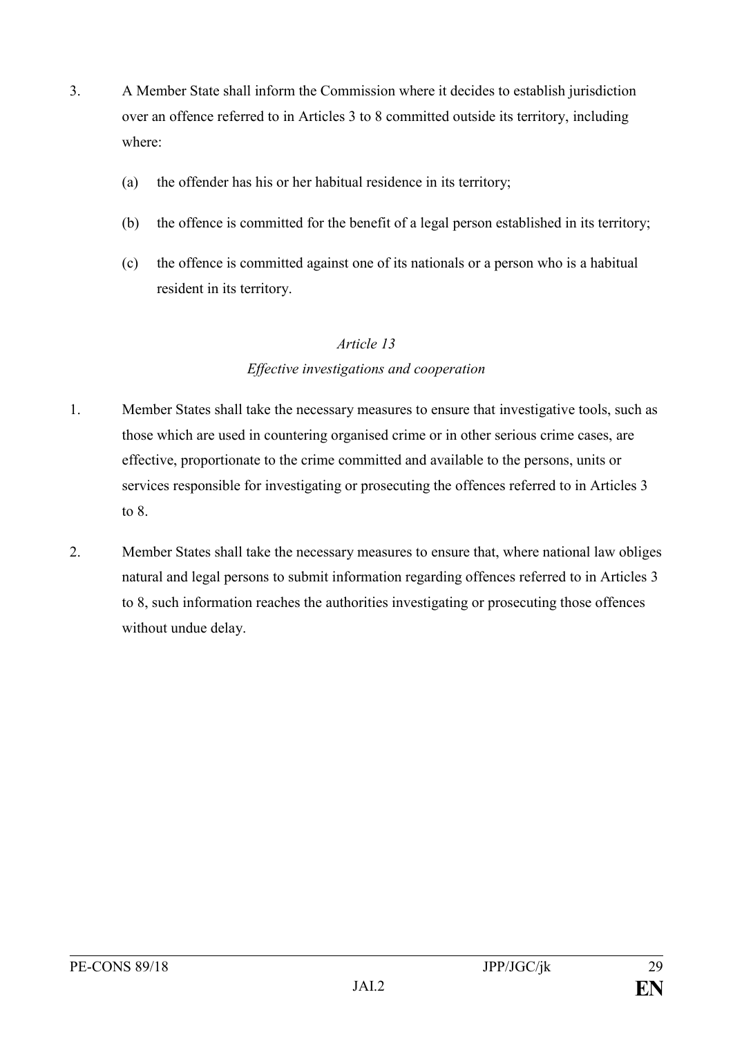- 3. A Member State shall inform the Commission where it decides to establish jurisdiction over an offence referred to in Articles 3 to 8 committed outside its territory, including where:
	- (a) the offender has his or her habitual residence in its territory;
	- (b) the offence is committed for the benefit of a legal person established in its territory;
	- (c) the offence is committed against one of its nationals or a person who is a habitual resident in its territory.

#### *Article 13*

#### *Effective investigations and cooperation*

- 1. Member States shall take the necessary measures to ensure that investigative tools, such as those which are used in countering organised crime or in other serious crime cases, are effective, proportionate to the crime committed and available to the persons, units or services responsible for investigating or prosecuting the offences referred to in Articles 3 to 8.
- 2. Member States shall take the necessary measures to ensure that, where national law obliges natural and legal persons to submit information regarding offences referred to in Articles 3 to 8, such information reaches the authorities investigating or prosecuting those offences without undue delay.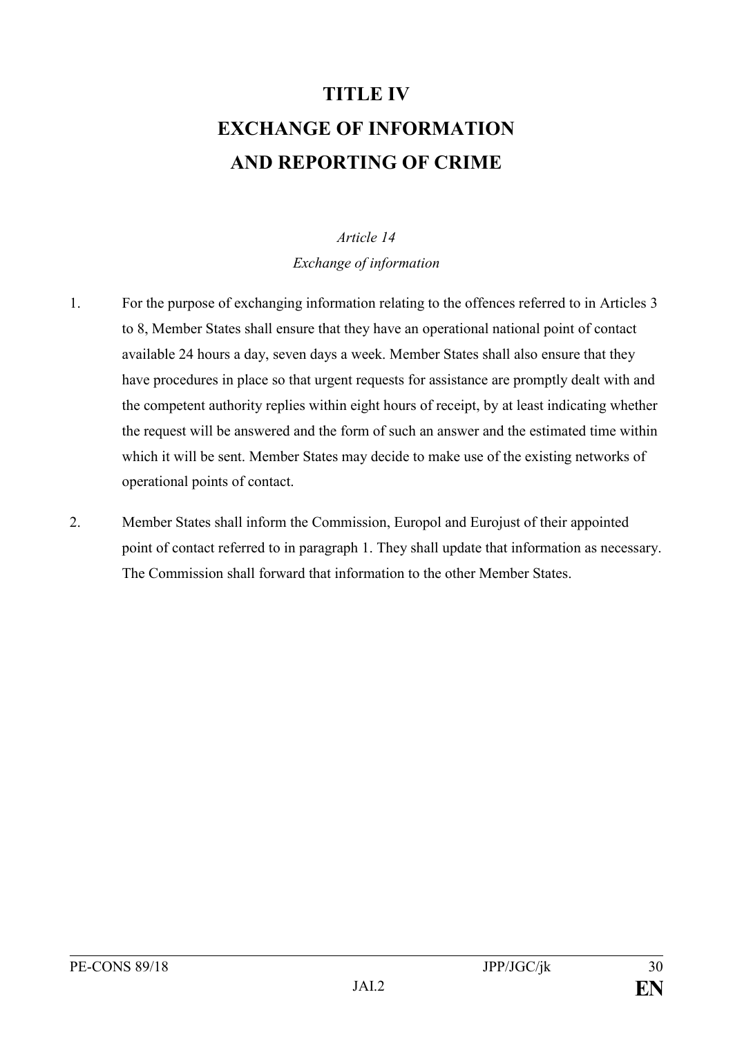# **TITLE IV EXCHANGE OF INFORMATION AND REPORTING OF CRIME**

# *Article 14 Exchange of information*

- 1. For the purpose of exchanging information relating to the offences referred to in Articles 3 to 8, Member States shall ensure that they have an operational national point of contact available 24 hours a day, seven days a week. Member States shall also ensure that they have procedures in place so that urgent requests for assistance are promptly dealt with and the competent authority replies within eight hours of receipt, by at least indicating whether the request will be answered and the form of such an answer and the estimated time within which it will be sent. Member States may decide to make use of the existing networks of operational points of contact.
- 2. Member States shall inform the Commission, Europol and Eurojust of their appointed point of contact referred to in paragraph 1. They shall update that information as necessary. The Commission shall forward that information to the other Member States.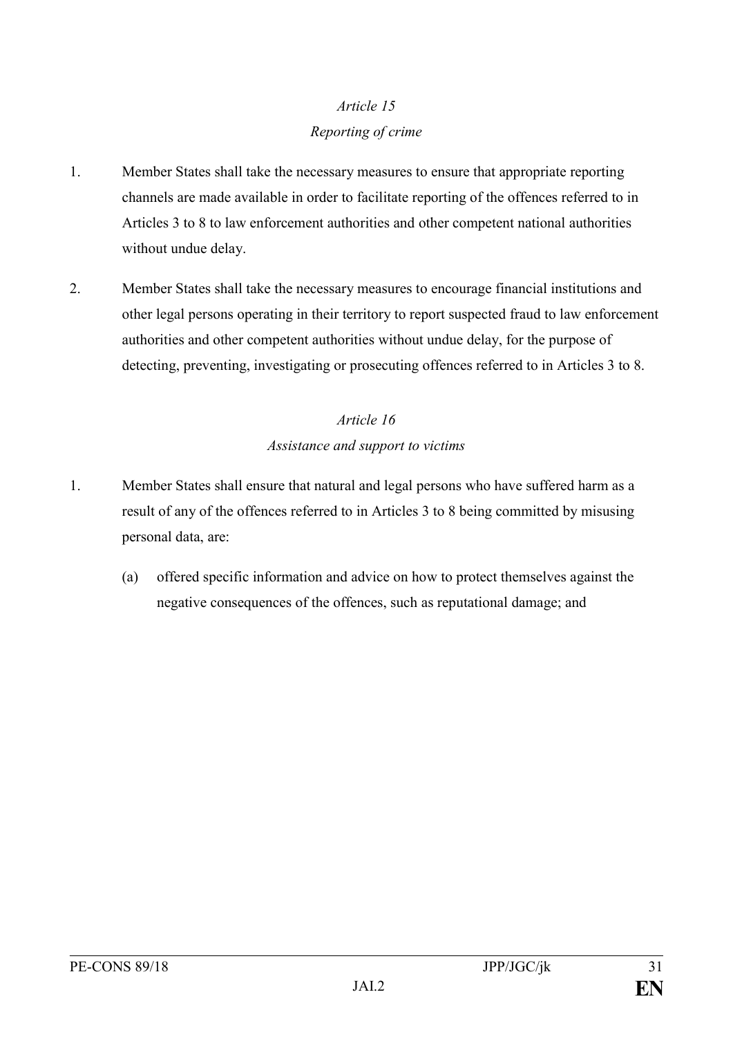# *Article 15 Reporting of crime*

- 1. Member States shall take the necessary measures to ensure that appropriate reporting channels are made available in order to facilitate reporting of the offences referred to in Articles 3 to 8 to law enforcement authorities and other competent national authorities without undue delay.
- 2. Member States shall take the necessary measures to encourage financial institutions and other legal persons operating in their territory to report suspected fraud to law enforcement authorities and other competent authorities without undue delay, for the purpose of detecting, preventing, investigating or prosecuting offences referred to in Articles 3 to 8.

# *Article 16 Assistance and support to victims*

- 1. Member States shall ensure that natural and legal persons who have suffered harm as a result of any of the offences referred to in Articles 3 to 8 being committed by misusing personal data, are:
	- (a) offered specific information and advice on how to protect themselves against the negative consequences of the offences, such as reputational damage; and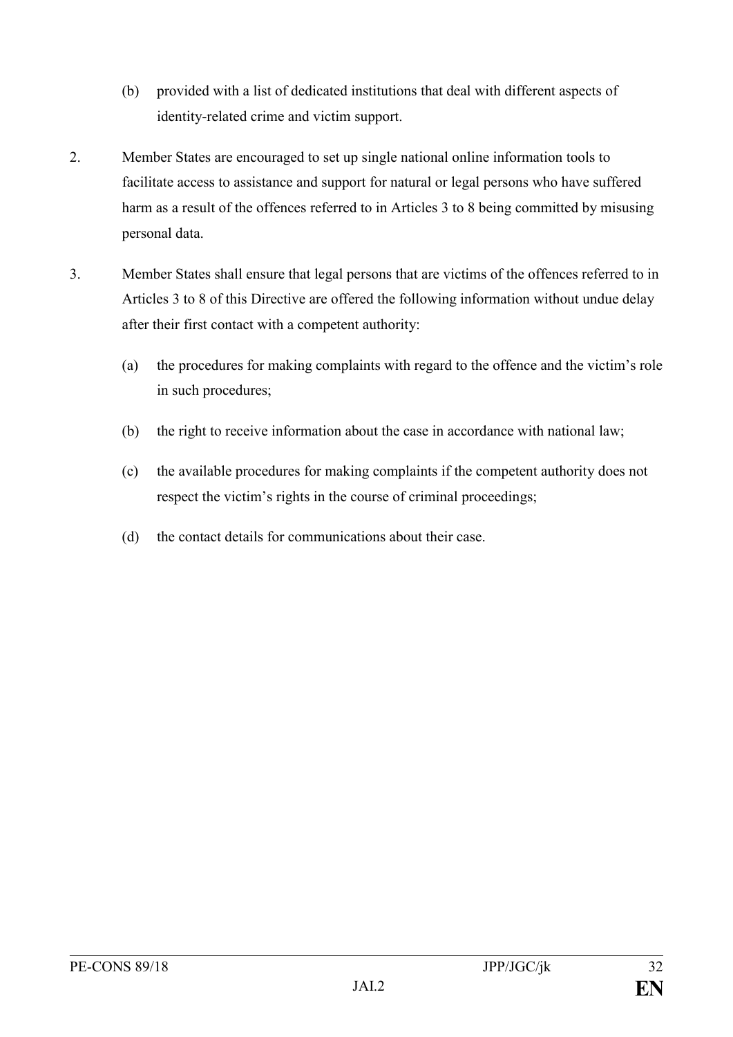- (b) provided with a list of dedicated institutions that deal with different aspects of identity-related crime and victim support.
- 2. Member States are encouraged to set up single national online information tools to facilitate access to assistance and support for natural or legal persons who have suffered harm as a result of the offences referred to in Articles 3 to 8 being committed by misusing personal data.
- 3. Member States shall ensure that legal persons that are victims of the offences referred to in Articles 3 to 8 of this Directive are offered the following information without undue delay after their first contact with a competent authority:
	- (a) the procedures for making complaints with regard to the offence and the victim's role in such procedures;
	- (b) the right to receive information about the case in accordance with national law;
	- (c) the available procedures for making complaints if the competent authority does not respect the victim's rights in the course of criminal proceedings;
	- (d) the contact details for communications about their case.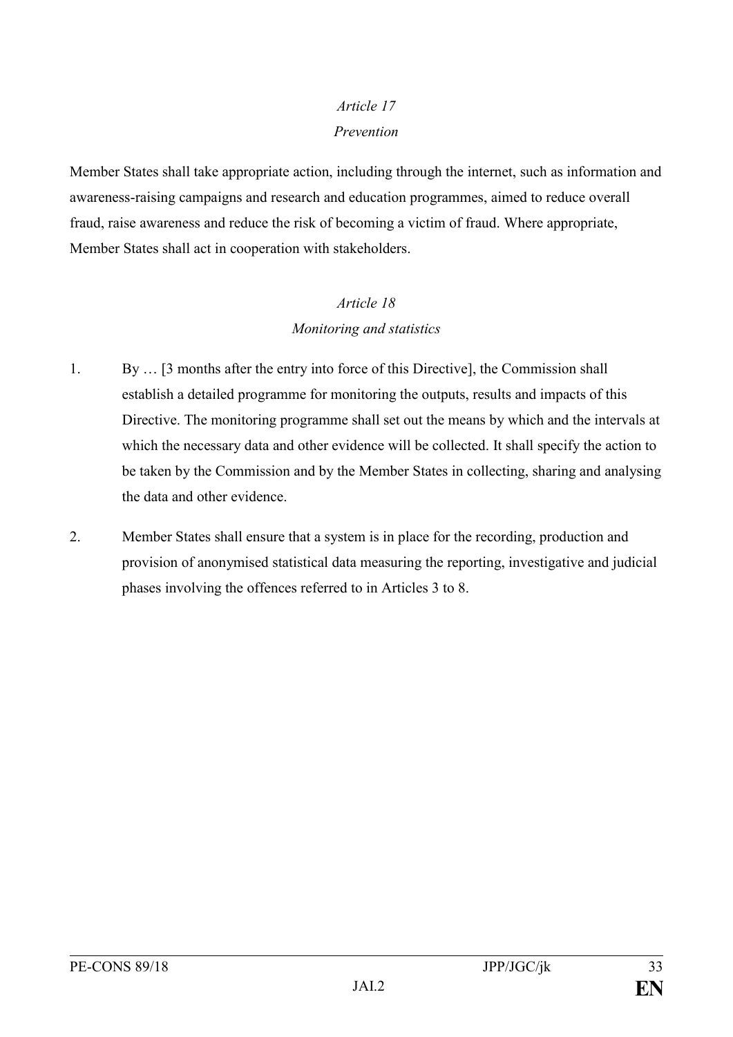# *Article 17 Prevention*

Member States shall take appropriate action, including through the internet, such as information and awareness-raising campaigns and research and education programmes, aimed to reduce overall fraud, raise awareness and reduce the risk of becoming a victim of fraud. Where appropriate, Member States shall act in cooperation with stakeholders.

### *Article 18 Monitoring and statistics*

- 1. By … [3 months after the entry into force of this Directive], the Commission shall establish a detailed programme for monitoring the outputs, results and impacts of this Directive. The monitoring programme shall set out the means by which and the intervals at which the necessary data and other evidence will be collected. It shall specify the action to be taken by the Commission and by the Member States in collecting, sharing and analysing the data and other evidence.
- 2. Member States shall ensure that a system is in place for the recording, production and provision of anonymised statistical data measuring the reporting, investigative and judicial phases involving the offences referred to in Articles 3 to 8.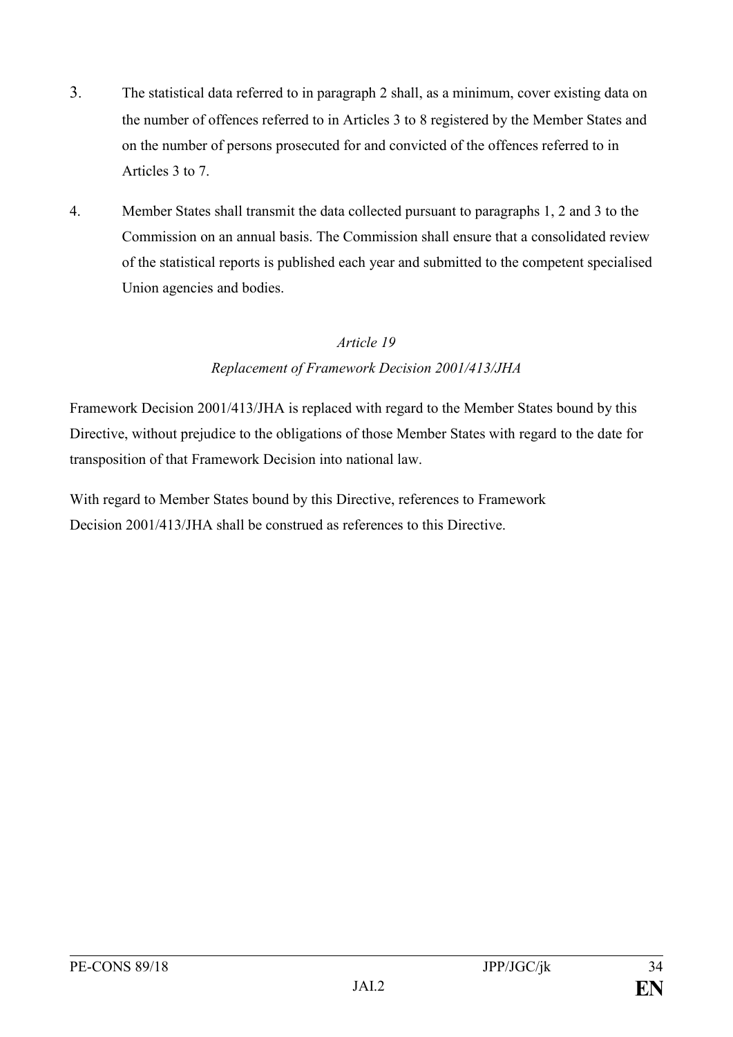- 3. The statistical data referred to in paragraph 2 shall, as a minimum, cover existing data on the number of offences referred to in Articles 3 to 8 registered by the Member States and on the number of persons prosecuted for and convicted of the offences referred to in Articles 3 to 7.
- 4. Member States shall transmit the data collected pursuant to paragraphs 1, 2 and 3 to the Commission on an annual basis. The Commission shall ensure that a consolidated review of the statistical reports is published each year and submitted to the competent specialised Union agencies and bodies.

#### *Article 19*

#### *Replacement of Framework Decision 2001/413/JHA*

Framework Decision 2001/413/JHA is replaced with regard to the Member States bound by this Directive, without prejudice to the obligations of those Member States with regard to the date for transposition of that Framework Decision into national law.

With regard to Member States bound by this Directive, references to Framework Decision 2001/413/JHA shall be construed as references to this Directive.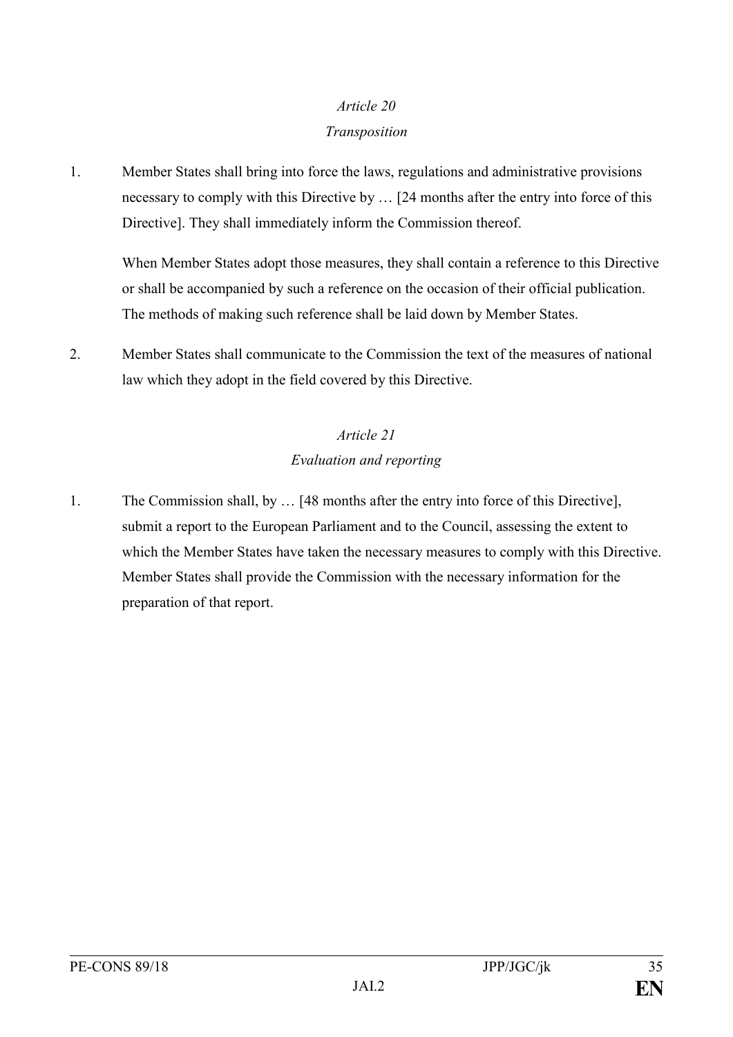#### *Article 20*

#### *Transposition*

1. Member States shall bring into force the laws, regulations and administrative provisions necessary to comply with this Directive by … [24 months after the entry into force of this Directive]. They shall immediately inform the Commission thereof.

When Member States adopt those measures, they shall contain a reference to this Directive or shall be accompanied by such a reference on the occasion of their official publication. The methods of making such reference shall be laid down by Member States.

2. Member States shall communicate to the Commission the text of the measures of national law which they adopt in the field covered by this Directive.

# *Article 21 Evaluation and reporting*

1. The Commission shall, by … [48 months after the entry into force of this Directive], submit a report to the European Parliament and to the Council, assessing the extent to which the Member States have taken the necessary measures to comply with this Directive. Member States shall provide the Commission with the necessary information for the preparation of that report.